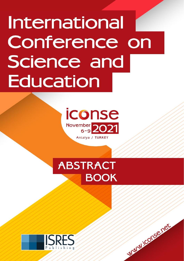# **International** Conference on Science and **Education**



# **ABSTRACT BOOK**

WWW.iconse.net

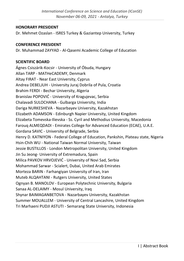#### **HONORARY PRESIDENT**

Dr. Mehmet Ozaslan - ISRES Turkey & Gaziantep University, Turkey

#### **CONFERENCE PRESIDENT**

Dr. Muhammad ZAYYAD - Al-Qasemi Academic College of Education

#### **SCIENTIFIC BOARD**

Ágnes Csiszárik-Kocsir - University of Óbuda, Hungary Allan TARP - MATHeCADEMY, Denmark Altay FIRAT - Near East University, Cyprus Andrea DEBELJUH - University Juraj Dobrila of Pula, Croatia Brahim FERDI - Bechar University, Algeria Branislav POPOVIĆ - University of Kragujevac, Serbia Chalavadi SULOCHANA - Gulbarga University, India Dariga NURKESHEVA - Nazarbayev University, Kazakhstan Elizabeth ADAMSON - Edinburgh Napier University, United Kingdom Elizabeta Tomevska-Ilievska - Ss. Cyril and Methodius University, Macedonia Farouq ALMEQDADI - Emirates College for Advanced Education (ECAE), U.A.E. Gordana SAVIC - University of Belgrade, Serbia Henry D. KATNIYON - Federal College of Education, Pankshin, Plateau state, Nigeria Hsin-Chih WU - National Taiwan Normal University, Taiwan Jessie BUSTILLOS - London Metropolitan University, United Kingdom Jin Su Jeong- University of Extremadura, Spain Milica PAVKOV HRVOJEVIĆ - University of Novi Sad, Serbia Mohammad Sarwar - Scialert, Dubai, United Arab Emirates Morteza BARIN - Farhangiyan University of Iran, Iran Muteb ALQAHTANI - Rutgers University, United States Ognyan B. MANOLOV - European Polytechnic University, Bulgaria Sanaa AL-DELAIMY - Mosul University, Iraq Shynar BAIMAGANBETOVA - Nazarbayev University, Kazakhstan Summer MOUALLEM - University of Central Lancashire, United Kingdom Tri Marhaeni PUDJI ASTUTI - Semarang State University, Indonesia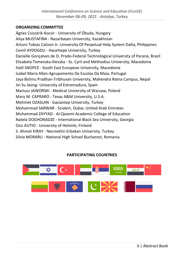#### **ORGANIZING COMMITTEE**

Ágnes Csiszárik-Kocsir - University of Óbuda, Hungary Aliya MUSTAFINA - Nazarbayev University, Kazakhstan Arturo Tobias Calizon Jr.-Unıversity Of Perpetual Help System Dalta, Philippines Cemil AYDOGDU - Hacettepe University, Turkey Danielle Gonçalves de O. Prado-Federal Technological University of Paraná, Brazil Elizabeta Tomevska-Ilievska - Ss. Cyril and Methodius University, Macedonia Halil SNOPCE - South East European University, Macedonia Isabel Maria Allen-Agrupamento De Escolas Da Maia, Portugal Jaya Bishnu Pradhan-Tribhuvan University, Mahendra Ratna Campus, Nepal Jin Su Jeong- University of Extremadura, Spain Mariusz JAWORSKI - Medical University of Warsaw, Poland Mary M. CAPRARO - Texas A&M University, U.S.A. Mehmet OZASLAN - Gaziantep University, Turkey Mohammad SARWAR - Scialert, Dubai, United Arab Emirates Muhammad ZAYYAD - Al-Qasemi Academic College of Education Natela DOGHONADZE - International Black Sea University, Georgia Ossi AUTIO - University of Helsinki, Finland S. Ahmet KIRAY - Necmettin Erbakan University, Turkey Silvia MORARU - National High School Bucharest, Romania

# **PARTICIPATING COUNTRIES**

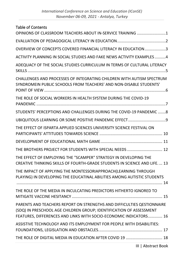# Table of Contents

| OPINIONS OF CLASSROOM TEACHERS ABOUT IN-SERVICE TRAINING 1                                                                                                                                                         |
|--------------------------------------------------------------------------------------------------------------------------------------------------------------------------------------------------------------------|
|                                                                                                                                                                                                                    |
| OVERVIEW OF CONCEPTS COVERED FINANCIAL LITERACY IN EDUCATION3                                                                                                                                                      |
| ACTIVITY PLANNING IN SOCIAL STUDIES AND FAKE NEWS ACTIVITY EXAMPLES 4                                                                                                                                              |
| ADEQUACY OF THE SOCIAL STUDIES CURRICULUM IN TERMS OF CULTURAL LITERACY                                                                                                                                            |
| CHALLENGES AND PROCESSES OF INTEGRATING CHILDREN WITH AUTISM SPECTRUM<br>SYNDROMEIN PUBLIC SCHOOLS FROM TEACHERS' AND NON-DISABLE STUDENTS'                                                                        |
| THE ROLE OF SOCIAL WORKERS IN HEALTH SYSTEM DURING THE COVID-19                                                                                                                                                    |
| STUDENTS' PERCEPTIONS AND CHALLENGES DURING THE COVID-19 PANDEMIC 8                                                                                                                                                |
|                                                                                                                                                                                                                    |
| THE EFFECT OF ISPARTA APPLIED SCIENCES UNIVERSITY SCIENCE FESTIVAL ON                                                                                                                                              |
|                                                                                                                                                                                                                    |
| THE BROTHERS PROJECT FOR STUDENTS WITH SPECIAL NEEDS  12                                                                                                                                                           |
| THE EFFECT OF EMPLOYING THE "SCAMPER" STRATEGY IN DEVELOPING THE<br>CREATIVE THINKING SKILLS OF FOURTH-GRADE STUDENTS IN SCIENCE AND LIFE 13                                                                       |
| THE IMPACT OF APPLYING THE MONTESSORIAPPROACH(LEARNING THROUGH<br>PLAYING) IN DEVELOPING THE EDUCATINAL ABILITIES AMONG AUTISTIC STUDENTS                                                                          |
| THE ROLE OF THE MEDIA IN INCULCATING PREDICTORS HITHERTO IGNORED TO                                                                                                                                                |
| PARENTS AND TEACHERS REPORT ON STRENGTHS AND DIFFICULTIES QESTIONNAIRE<br>(SDQ) IN PRESCHOOL AGE CHILDREN GROUP; IDENTIFICATION OF ASSESSMENT<br>FEATURES, DIFFERENCES AND LINKS WITH SOCIO-ECONOMIC INDICATORS 16 |
|                                                                                                                                                                                                                    |
| ASSISTIVE TECHNOLOGY AND ITS EMPLOYMENT FOR PEOPLE WITH DISABILITIES:                                                                                                                                              |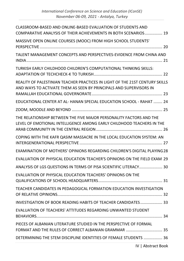| CLASSROOM-BASED AND ONLINE-BASED EVALUATION OF STUDENTS AND                                                                                        |
|----------------------------------------------------------------------------------------------------------------------------------------------------|
| COMPARATIVE ANALYSIS OF THEIR ACHIEVEMENTS IN BOTH SCENARIOS 19                                                                                    |
| MASSIVE OPEN ONLINE COURSES (MOOC) FROM HIGH SCHOOL STUDENTS'                                                                                      |
| TALENT MANAGEMENT CONCEPTS AND PERSPECTIVES-EVIDENCE FROM CHINA AND                                                                                |
| TURKISH EARLY CHILDHOOD CHILDREN'S COMPUTATIONAL THINKING SKILLS:                                                                                  |
| REALITY OF PALESTINIAN TEACHER PRACTICES IN LIGHT OF THE 21ST CENTURY SKILLS<br>AND WAYS TO ACTIVATE THEM AS SEEN BY PRINCIPALS AND SUPERVISORS IN |
| EDUCATIONAL CENTER AT AL-HANAN SPECIAL EDUCATION SCHOOL - RAHAT  24                                                                                |
|                                                                                                                                                    |
| THE RELATIONSHIP BETWEEN THE FIVE MAJOR PERSONALITY FACTORS AND THE<br>LEVEL OF EMOTIONAL INTELLIGENCE AMONG EARLY CHILDHOOD TEACHERS IN THE       |
| COPING WITH THE KAFR QASIM MASSACRE IN THE LOCAL EDUCATION SYSTEM: AN                                                                              |
|                                                                                                                                                    |
| EXAMINATION OF MOTHERS' OPINIONS REGARDING CHILDREN'S DIGITAL PLAYING 28                                                                           |
| EVALUATION OF PHYSICAL EDUCATION TEACHER'S OPINIONS ON THE FIELD EXAM 29                                                                           |
| ANALYSIS OF LGS QUESTIONS IN TERMS OF PISA SCIENTIFIC LITERACY 30                                                                                  |
| EVALUATION OF PHYSICAL EDUCATION TEACHERS' OPINIONS ON THE                                                                                         |
| TEACHER CANDIDATES IN PEDAGOGICAL FORMATION EDUCATION INVESTIGATION                                                                                |
| INVESTIGATION OF BOOK READING HABITS OF TEACHER CANDIDATES 33                                                                                      |
| EVALUATION OF TEACHERS' ATTITUDES REGARDING UNWANTED STUDENT                                                                                       |
| PIECES OF ALBANIAN LITERATURE STUDIED IN THE PERSPECTIVE OF FORMAL                                                                                 |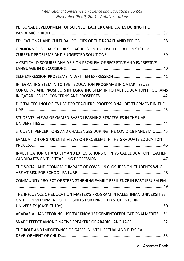| PERSONAL DEVELOPMENT OF SCIENCE TEACHER CANDIDATES DURING THE                                                                              |
|--------------------------------------------------------------------------------------------------------------------------------------------|
| EDUCATIONAL AND CULTURAL POLICIES OF THE KARAKHANID PERIOD  38                                                                             |
| OPINIONS OF SOCIAL STUDIES TEACHERS ON TURKISH EDUCATION SYSTEM:                                                                           |
| A CRITICAL DISCOURSE ANALYSIS ON PROBLEM OF RECEPTIVE AND EXPRESSIVE                                                                       |
|                                                                                                                                            |
| INTEGRATING STEM IN TO TVET EDUCATION PROGRAMS IN QATAR: ISSUES,<br>CONCERNS AND PROSPECTS INTEGRATING STEM IN TO TVET EDUCATION PROGRAMS  |
| DIGITAL TECHNOLOGIES USE FOR TEACHERS' PROFESSIONAL DEVELOPMENT IN THE                                                                     |
| STUDENTS' VIEWS OF GAMED-BASED LEARNING STRATEGIES IN THE UAE                                                                              |
| STUDENT' PERCEPTIONS AND CHALLENGES DURING THE COVID-19 PANDEMIC  45                                                                       |
| EVALUATION OF STUDENTS' VIEWS ON PROBLEMS IN THE GRADUATE EDUCATION                                                                        |
| INVESTIGATION OF ANXIETY AND EXPECTATIONS OF PHYSICAL EDUCATION TEACHER                                                                    |
| THE SOCIAL AND ECONOMIC IMPACT OF COVID-19 CLOSURES ON STUDENTS WHO                                                                        |
| COMMUNITY PROJECT OF STRENGTHENING FAMILY RESILIENCE IN EAST JERUSALEM                                                                     |
| THE INFLUENCE OF EDUCATION MASTER'S PROGRAM IN PALESTINIAN UNIVERSITIES<br>ON THE DEVELOPMENT OF LIFE SKILLS FOR ENROLLED STUDENTS BIRZEIT |
| ACADAS-ALLIANCEFORINCLUSIVEACKNOWLEDGEMENTOFEDUCATIONALMERITS  51                                                                          |
| SNARC EFFECT AMONG NATIVE SPEAKERS OF ARABIC LANGUAGE  52                                                                                  |
| THE ROLE AND IMPORTANCE OF GAME IN INTELLECTUAL AND PHYSICAL                                                                               |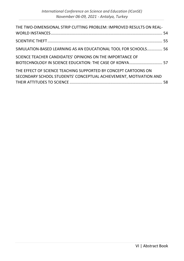| THE TWO-DIMENSIONAL STRIP CUTTING PROBLEM: IMPROVED RESULTS ON REAL-                                                                 |  |
|--------------------------------------------------------------------------------------------------------------------------------------|--|
|                                                                                                                                      |  |
| SIMULATION-BASED LEARNING AS AN EDUCATIONAL TOOL FOR SCHOOLS 56                                                                      |  |
| SCIENCE TEACHER CANDIDATES' OPINIONS ON THE IMPORTANCE OF                                                                            |  |
| THE EFFECT OF SCIENCE TEACHING SUPPORTED BY CONCEPT CARTOONS ON<br>SECONDARY SCHOOL STUDENTS' CONCEPTUAL ACHIEVEMENT, MOTIVATION AND |  |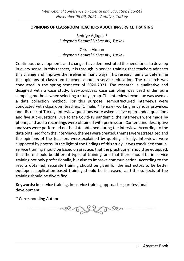#### <span id="page-7-0"></span>**OPINIONS OF CLASSROOM TEACHERS ABOUT IN-SERVICE TRAINING**

Bedriye Açikgöz \* *Suleyman Demirel University, Turkey*

Ozkan Akman *Suleyman Demirel University, Turkey*

Continuous developments and changes have demonstrated the need for us to develop in every sense. In this respect, it is through in-service training that teachers adapt to this change and improve themselves in many ways. This research aims to determine the opinions of classroom teachers about in-service education. The research was conducted in the spring semester of 2020-2021. The research is qualitative and designed with a case study. Easy-to-access case sampling was used under pure sampling methods when selecting a study group. The interview technique was used as a data collection method. For this purpose, semi-structured interviews were conducted with classroom teachers (1 male, 4 female) working in various provinces and districts of Turkey. Interview questions were asked as five open-ended questions and five sub-questions. Due to the Covid-19 pandemic, the interviews were made by phone, and audio recordings were obtained with permission. Content and descriptive analyses were performed on the data obtained during the interview. According to the data obtained from the interviews, themes were created, themes were strategized and the opinions of the teachers were explained by quoting directly. Interviews were supported by photos. In the light of the findings of this study, it was concluded that inservice training should be based on practice, that the practitioner should be equipped, that there should be different types of training, and that there should be in-service training not only professionally, but also to improve communication. According to the results obtained, separate training should be given for the instructors to be better equipped, application-based training should be increased, and the subjects of the training should be diversified.

**Keywords:** in-service training, in-service training approaches, professional development

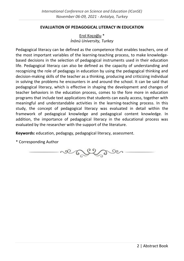#### **EVALUATION OF PEDAGOGICAL LITERACY IN EDUCATION**

Erol Koçoğlu \* *İnönü University, Turkey*

<span id="page-8-0"></span>Pedagogical literacy can be defined as the competence that enables teachers, one of the most important variables of the learning-teaching process, to make knowledgebased decisions in the selection of pedagogical instruments used in their education life. Pedagogical literacy can also be defined as the capacity of understanding and recognizing the role of pedagogy in education by using the pedagogical thinking and decision-making skills of the teacher as a thinking, producing and criticizing individual in solving the problems he encounters in and around the school. It can be said that pedagogical literacy, which is effective in shaping the development and changes of teacher behaviors in the education process, comes to the fore more in education programs that include text applications that students can easily access, together with meaningful and understandable activities in the learning-teaching process. In this study, the concept of pedagogical literacy was evaluated in detail within the framework of pedagogical knowledge and pedagogical content knowledge. In addition, the importance of pedagogical literacy in the educational process was evaluated by the researcher with the support of the literature.

**Keywords:** education, pedagogy, pedagogical literacy, assessment.

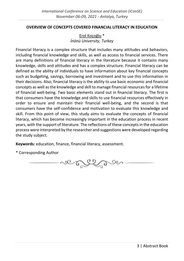#### <span id="page-9-0"></span>**OVERVIEW OF CONCEPTS COVERED FINANCIAL LITERACY IN EDUCATION**

Erol Koçoğlu \* *İnönü University, Turkey*

Financial literacy is a complex structure that includes many attitudes and behaviors, including financial knowledge and skills, as well as access to financial services. There are many definitions of financial literacy in the literature because it contains many knowledge, skills and attitudes and has a complex structure. Financial literacy can be defined as the ability of individuals to have information about key financial concepts such as budgeting, savings, borrowing and investment and to use this information in their decisions. Also, financial literacy is the ability to use basic economic and financial concepts as well as the knowledge and skill to manage financial resources for a lifetime of financial well-being. Two basic elements stand out in financial literacy. The first is that consumers have the knowledge and skills to use financial resources effectively in order to ensure and maintain their financial well-being, and the second is that consumers have the self-confidence and motivation to evaluate this knowledge and skill. From this point of view, this study aims to evaluate the concepts of financial literacy, which has become increasingly important in the education process in recent years, with the support of literature. The reflections of these concepts in the education process were interpreted by the researcher and suggestions were developed regarding the study subject.

**Keywords:** education, finance, financial literacy, assessment.

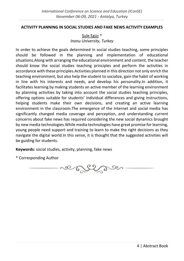#### <span id="page-10-0"></span>**ACTIVITY PLANNING IN SOCIAL STUDIES AND FAKE NEWS ACTIVITY EXAMPLES**

# Şule Egüz \* *Inonu University, Turkey*

In order to achieve the goals determined in social studies teaching, some principles should be followed in the planning and implementation of educational situations.Along with arranging the educational environment and content, the teacher should know the social studies teaching principles and perform the activities in accordance with these principles.Activities planned in this direction not only enrich the teaching environment, but also help the student to socialize, gain the habit of working in line with his interests and needs, and develop his personality.In addition, it facilitates learning by making students an active member of the learning environment by planning activities by taking into account the social studies teaching principles, offering options suitable for students' individual differences and giving instructions, helping students make their own decisions, and creating an active learning environment in the classroom.The emergence of the Internet and social media has significantly changed media coverage and perception, and understanding current concerns about fake news has required considering the new social dynamics brought by new media technologies.While media technologies have great promise for learning, young people need support and training to learn to make the right decisions as they navigate the digital world.In this sense, it is thought that the suggested activities will be guiding for students.

**Keywords:** social studies, activity, planning, fake news

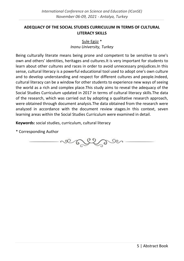# <span id="page-11-0"></span>**ADEQUACY OF THE SOCIAL STUDIES CURRICULUM IN TERMS OF CULTURAL LITERACY SKILLS**

# Sule Egüz<sup>\*</sup> *Inonu University, Turkey*

Being culturally literate means being prone and competent to be sensitive to one's own and others' identities, heritages and cultures.It is very important for students to learn about other cultures and races in order to avoid unnecessary prejudices.In this sense, cultural literacy is a powerful educational tool used to adopt one's own culture and to develop understanding and respect for different cultures and people.Indeed, cultural literacy can be a window for other students to experience new ways of seeing the world as a rich and complex place.This study aims to reveal the adequacy of the Social Studies Curriculum updated in 2017 in terms of cultural literacy skills.The data of the research, which was carried out by adopting a qualitative research approach, were obtained through document analysis.The data obtained from the research were analyzed in accordance with the document review stages.In this context, seven learning areas within the Social Studies Curriculum were examined in detail.

**Keywords:** social studies, curriculum, cultural literacy

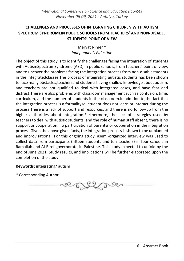# <span id="page-12-0"></span>**CHALLENGES AND PROCESSES OF INTEGRATING CHILDREN WITH AUTISM SPECTRUM SYNDROMEIN PUBLIC SCHOOLS FROM TEACHERS' AND NON-DISABLE STUDENTS' POINT OF VIEW**

Mervat Nimer \* *Independent, Palestine*

The object of this study is to identify the challenges facing the integration of students with AutismSpectrumSyndrome (ASD) in public schools, from teachers' point of view, and to uncover the problems facing the integration process from non-disablestudents in the integratedclasses.The process of integrating autistic students has been shown to face many obstacles,teachersand students having shallow knowledge about autism, and teachers are not qualified to deal with integrated cases, and have fear and distrust.There are also problems with classroom management such as:confusion, time, curriculum, and the number of students in the classroom.In addition to,the fact that the integration process is a formalityso, student does not learn or interact during the process.There is a lack of support and resources, and there is no follow-up from the higher authorities about integration.Furthermore, the lack of strategies used by teachers to deal with autistic students, and the role of human staff absent, there is no support or cooperation, no participation of parentsnor cooperation in the integration process.Given the above given facts, the integration process is shown to be unplanned and improvisational. For this ongoing study, asemi-organized interview was used to collect data from participants (fifteen students and ten teachers) in four schools in Ramallah and Al-Birehgovernoratesin Palestine. This study expected to unfold by the end of June 2021. Study results, and implications will be further elaborated upon the completion of the study.

**Keywords:** integrating/ autism

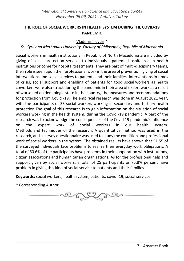#### <span id="page-13-0"></span>**THE ROLE OF SOCIAL WORKERS IN HEALTH SYSTEM DURING THE COVID-19 PANDEMIC**

#### Vladimir Ilievski \*

# *Ss. Cyril and Methodius University, Faculty of Philosophy, Republic of Macedonia*

Social workers in health institutions in Republic of North Macedonia are included by giving of social protection services to individuals - patients hospitalized in health institutions or come for hospital treatments. They are part of multi-disciplinary teams, their role is seen upon their professional work in the area of prevention, giving of social interventions and social services to patients and their families, interventions in times of crisis, social support and enabling of patients for good social workers as health coworkers were also struck during the pandemic in their area of expert work as a result of worsened epidemiologic state in the country, the measures and recommendations for protection from Covid -19. The empirical research was done in August 2021 yеаr, with the participants of 33 social workers working in secondary and tertiary health protection.The goal of this research is to gain information on the situation of social workers working in the health system, during the Covid -19 pandemic. A part of the research was to acknowledge the consequences of the Covid 19 pandemic's influence on the expert work of social workers in our health system. Methods and techniques of the research: A quantitative method was used in the research, and a survey questionnaire was used to study the condition and professional work of social workers in the system. The obtained results have shown that 51.55 of the surveyed individuals face problems to realize their everyday work obligations. A total of 60.6% of the participants have problems in their cooperation with institutions, citizen associations and humanitarian organizations. As for the professional help and support given by social workers, a total of 25 participants or 75.8% percent have problem in giving this kind of social service to patients and their families.

**Keywords:** social workers, health system, patients, covid -19, social services

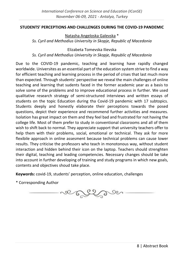#### <span id="page-14-0"></span>**STUDENTS' PERCEPTIONS AND CHALLENGES DURING THE COVID-19 PANDEMIC**

Natasha Angeloska Galevska \*

*Ss. Cyril and Methodius University in Skopje, Republic of Macedonia*

Elizabeta Tomevska Ilievska

*Ss. Cyril and Methodius University in Skopje, Republic of Macedonia*

Due to the COVID-19 pandemic, teaching and learning have rapidly changed worldwide. Universites as an essential part of the education system strive to find a way for efficient teaching and learning process in the period of crises that last much more than expected. Through students' perspective we reveal the main challenges of online teaching and learning that sudents faced in the former academic year as a basis to solve some of the problems and to improve educational process in further. We used qualitative research strategy of semi-structured interviews and written essays of students on the topic Education during tha Covid-19 pandemic with 17 subtopics. Students deeply and honestly elaborate their perceptions towards the posed questions, depict their experience and recommend further activities and measures. Isolation has great impact on them and they feel bad and frustrated for not having the college life. Most of them prefer to study in conventional classrooms and all of them wish to shift back to normal. They appreciate support that university teachers offer to help them with their problems, social, emotional or technical. They ask for more flexibile approach in online assesment because technical problems can cause lower results. They criticise the professors who teach in monotonous way, without student interaction and hidden behind their icon on the laptop. Teachers should strenghten their digital, teaching and leading competencies. Necessary changes should be take into account in further developing of training and study programs in which new goals, contents and objectives shoud take place.

**Keywords:** covid-19, students' perception, online education, challenges

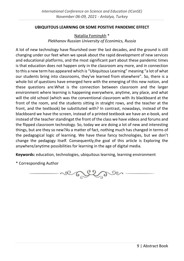#### <span id="page-15-0"></span>**UBIQUITOUS LEARNING OR SOME POSITIVE PANDEMIC EFFECT**

Nataliia Fominykh \* *Plekhanov Russian University of Econimics, Russia*

A lot of new technology have flourished over the last decades, and the ground is still changing under our feet when we speak about the rapid development of new services and educational platforms, and the most significant part about these pandemic times is that education does not happen only in the classroom any more, and in connection to this a new term has appeared which is "Ubiquitous Learning" meaning "a lot of what our students bring into classrooms, they've learned from elsewhere". So, there is a whole list of questions have emerged here with the emerging of this new notion, and these questions are:What is the connection between classroom and the larger environment where learning is happening everywhere, anytime, any place, and what will the old school (which was the conventional classroom with its blackboard at the front of the room, and the students sitting in straight rows, and the teacher at the front, and the textbook) be substituted with? In contrast, nowadays, instead of the blackboard we have the screen, instead of a printed textbook we have an e-book, and instead of the teacher standingat the front of the class we have videos and forums and the flipped classroom technology. So, today we are doing a lot of new and interesting things, but are they so new?As a matter of fact, nothing much has changed in terms of the pedagogical logic of learning. We have these fancy technologies, but we don't change the pedagogy itself. Consequently,the goal of this article is Exploring the anywhere/anytime possibilities for learning in the age of digital media.

**Keywords:** education, technologies, ubiquitous learning, learning environment

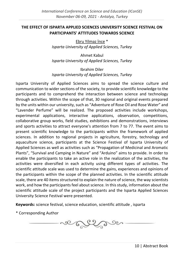#### <span id="page-16-0"></span>**THE EFFECT OF ISPARTA APPLIED SCIENCES UNIVERSITY SCIENCE FESTIVAL ON PARTICIPANTS' ATTITUDES TOWARDS SCIENCE**

Ebru Yilmaz İnce \* *Isparta University of Applied Sciences, Turkey*

Ahmet Kabul *Isparta University of Applied Sciences, Turkey*

Ibrahim Diler *Isparta University of Applied Sciences, Turkey*

Isparta University of Applied Sciences aims to spread the science culture and communication to wider sections of the society, to provide scientific knowledge to the participants and to comprehend the interaction between science and technology through activities. Within the scope of that, 30 regional and original events prepared by the units within our university, such as "Adventure of Rose Oil and Rose Water" and "Lavender Perfume" will be realized. The proposed activities include workshops, experimental applications, interactive applications, observation, competitions, collaborative group works, field studies, exhibitions and demonstrations, interviews and sports activities to attract everyone's attention from 7 to 77. The event aims to present scientific knowledge to the participants within the framework of applied sciences. In addition to regional projects in agriculture, forestry, technology and aquaculture science, participants at the Science Festival of Isparta University of Applied Sciences as well as activities such as "Propagation of Medicinal and Aromatic Plants", "Survival and Camping in Nature" and "Arduino" aims to provide. In order to enable the participants to take an active role in the realization of the activities, the activities were diversified in each activity using different types of activities. The scientific attitude scale was used to determine the gains, experiences and opinions of the participants within the scope of the planned activities. In the scientific attitude scale, there are 40 items structured to explain the nature of science, the way scientists work, and how the participants feel about science. In this study, information about the scientific attitude scale of the project participants and the Isparta Applied Sciences University Science Festival were presented.

**Keywords:** science festival, science education, scientific attitude , isparta

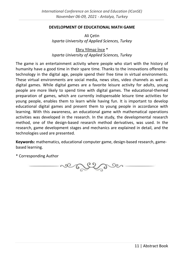#### <span id="page-17-0"></span>**DEVELOPMENT OF EDUCATIONAL MATH GAME**

Ali Çetin *Isparta University of Applied Sciences, Turkey*

Ebru Yilmaz İnce \* *Isparta University of Applied Sciences, Turkey*

The game is an entertainment activity where people who start with the history of humanity have a good time in their spare time. Thanks to the innovations offered by technology in the digital age, people spend their free time in virtual environments. These virtual environments are social media, news sites, video channels as well as digital games. While digital games are a favorite leisure activity for adults, young people are more likely to spend time with digital games. The educational-themed preparation of games, which are currently indispensable leisure time activities for young people, enables them to learn while having fun. It is important to develop educational digital games and present them to young people in accordance with learning. With this awareness, an educational game with mathematical operations activities was developed in the research. In the study, the developmental research method, one of the design-based research method derivatives, was used. In the research, game development stages and mechanics are explained in detail, and the technologies used are presented.

**Keywords:** mathematics, educational computer game, design-based research, gamebased learning.

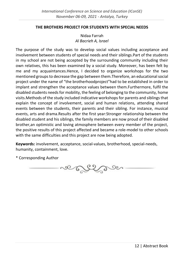#### <span id="page-18-0"></span>**THE BROTHERS PROJECT FOR STUDENTS WITH SPECIAL NEEDS**

Nidaa Farrah *Al Bacrieh A, Israel*

The purpose of the study was to develop social values including acceptance and involvement between students of special needs and their siblings.Part of the students in my school are not being accepted by the surrounding community including their own relatives, this has been examined by a social study. Moreover, has been felt by me and my acquaintances.Hence, I decided to organize workshops for the two mentioned groups to decrease the gap between them.Therefore, an educational social project under the name of "the brotherhoodproject"had to be established in order to implant and strengthen the acceptance values between them.Furthermore, fulfil the disabled students needs for mobility, the feeling of belonging to the community, home visits.Methods of the study included indicative workshops for parents and siblings that explain the concept of involvement, social and human relations, attending shared events between the students, their parents and their sibling. For instance, musical events, arts and drama.Results after the first year:Stronger relationship between the disabled student and his siblings, the family members are now proud of their disabled brother,an optimistic and loving atmosphere between every member of the project, the positive results of this project affected and became a role-model to other schools with the same difficulties and this project are now being adopted.

**Keywords:** involvement, acceptance, social-values, brotherhood, special-needs, humanity, containment, love.

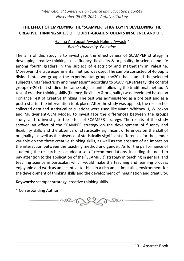# <span id="page-19-0"></span>**THE EFFECT OF EMPLOYING THE "SCAMPER" STRATEGY IN DEVELOPING THE CREATIVE THINKING SKILLS OF FOURTH-GRADE STUDENTS IN SCIENCE AND LIFE.**

Halima Ali Yousef Ayyash Halima Ayyash \* *Birzeit University, Palestine*

The aim of this study is to investigate the effectiveness of SCAMPER strategy in developing creative thinking skills (fluency, flexibility & originality) in science and life among fourth graders in the subject of electricity and magnetism in Palestine. Moreover, the true experimental method was used. The sample consisted of 40 pupils divided into two groups: the experimental group (n=20) that studied the selected subjects units "electricity and magnetism" according to SCAMPER strategy, the control group (n=20) that studied the same subjects units following the traditional method. A test of creative thinking skills (fluency, flexibility & originality) was developed based on Torrance Test of Creative thinking. The test was administered as a pre test and as a posttest after the intervention took place. After the study was applied, the researcher collected data and statistical calculations were used like Mann-Whitney U, Wilcoxon and Multivariant-GLM Model; to investigate the differences between the groups study, and to investigate the effect of SCAMPER strategy. The results of the study showed an effect of the SCAMPER strategy on the development of fluency and flexibility skills and the absence of statistically significant differences on the skill of originality, as well as the absence of statistically significant differences for the gender variable on the three creative thinking skills, as well as the absence of an impact on the interaction between the teaching method and gender. As for the performance of students; the researcher cocluded a set of recommendations, including the need to pay attention to the application of the "SCAMPER" strategy in teaching in general and teaching science in particular, which would make the teaching and learning process enjoyable and work as an incentive to think in a rich and stimulating environment for the development of thinking skills and the development of imagination and creativity.

**Keywords:** scamper strategy, creative thinking skills

ve Top De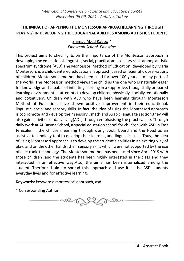# <span id="page-20-0"></span>**THE IMPACT OF APPLYING THE MONTESSORIAPPROACH(LEARNING THROUGH PLAYING) IN DEVELOPING THE EDUCATINAL ABILITIES AMONG AUTISTIC STUDENTS**

Shimaa Abed Raboo \* *Elbasmah School, Palestine*

This project aims to shed lights on the importance of the Montessori approach in developing the educational, linguistic, social, practical and sensory skills among autistic spectrum syndrome (ASD).The Montessori Method of Education, developed by Maria Montessori, is a child-centered educational approach based on scientific observations of children. Montessori's method has been used for over 100 years in many parts of the world. The Montessori method views the child as the one who is naturally eager for knowledge and capable of initiating learning in a supportive, thoughtfully prepared learning environment. It attempts to develop children physically, socially, emotionally and cognitively. Children with ASD who have been learning through Montessori Method of Education, have shown positive improvement in their educational, linguistic, social and sensory skills. In fact, the idea of using the Montessori approach is top romote and develop their sensory , math and Arabic language section,they will also gain activities of daily living(ADL) through emphasising the practical life. Through daily work at AL Basma School, a special education school for children with ASD in East Jerusalem , the children learning through using book, board and the I-pad as an assistive technology tool to develop their learning and linguistic skills. Thus, the idea of using Montessori approach is to develop the student's abilities in an exciting way of play, and on the other hands, their sensory skills which were not supported by the use of electronic technology. The Montessori method has been used since April 2019 with those children ,and the students has been highly interested in the class and they interacted in an effective way.Also, the aims has been internalized among the students.Therfore, I aim to spread this approach and use it in the ASD students everyday lives and for effective learning.

**Keywords:** keywords: montessori approach, asd

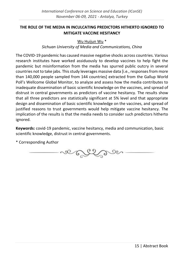# <span id="page-21-0"></span>**THE ROLE OF THE MEDIA IN INCULCATING PREDICTORS HITHERTO IGNORED TO MITIGATE VACCINE HESITANCY**

Wu Huijun Wu<sup>\*</sup>

#### *Sichuan University of Media and Communications, China*

The COVID-19 pandemic has caused massive negative shocks across countries. Various research institutes have worked assiduously to develop vaccines to help fight the pandemic but misinformation from the media has spurred public outcry in several countries not to take jabs. This study leverages massive data [i.e., responses from more than 140,000 people sampled from 144 countries] extracted from the Gallup World Poll's Wellcome Global Monitor, to analyze and assess how the media contributes to inadequate dissemination of basic scientific knowledge on the vaccines, and spread of distrust in central governments as predictors of vaccine hesitancy. The results show that all three predictors are statistically significant at 5% level and that appropriate design and dissemination of basic scientific knowledge on the vaccines, and spread of justified reasons to trust governments would help mitigate vaccine hesitancy. The implication of the results is that the media needs to consider such predictors hitherto ignored.

**Keywords:** covid-19 pandemic, vaccine hesitancy, media and communication, basic scientific knowledge, distrust in central governments.

so Entre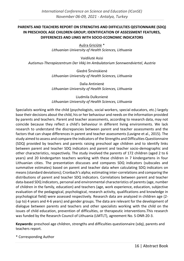#### <span id="page-22-0"></span>**PARENTS AND TEACHERS REPORT ON STRENGTHS AND DIFFICULTIES QESTIONNAIRE (SDQ) IN PRESCHOOL AGE CHILDREN GROUP; IDENTIFICATION OF ASSESSMENT FEATURES, DIFFERENCES AND LINKS WITH SOCIO-ECONOMIC INDICATORS**

Aušra Griciūtė \* *Lithuanian University of Health Sciences, Lithuania*

Vaidilutė Asisi *Autismus-Therapiezentrum Der Vkkj Im Ambulatorium Sonnwendviertel, Austria*

> Giedrė Širvinskienė *Lithuanian University of Health Sciences, Lithuania*

> Dalia Antinienė *Lithuanian University of Health Sciences, Lithuania*

> Liudmila Dulksnienė *Lithuanian University of Health Sciences, Lithuania*

Specialists working with the child (psychologists, social workers, special educators, etc.) largely base their decisions about the child, his or her behaviour and needs on the information provided by parents and teachers. Parent and teacher assessments, according to research data, may not coincide because they reflect a child's behaviour in different living environments. We lack research to understand the discrepancies between parent and teacher assessments and the factors that can shape differences in parent and teacher assessments (Lavigne et al., 2015). The study aimed to assess and compare the indicators of the Strengths and Difficulties Questionnaire (SDQ) provided by teachers and parents raising preschool age children and to identify links between parent and teacher SDQ indicators and parent and teacher socio-demographic and other characteristics, respectively. The study involved the parents of 172 children (aged 2 to 6 years) and 20 kindergarten teachers working with these children in 7 kindergartens in four Lithuanian cities. The presentation discusses and compares SDQ indicators (subscales and summative estimates) based on parent and teacher data when calculating SDQ indicators on means (standard deviations); Cronbach's alpha; estimating inter-correlations and comparing the distributions of parent and teacher SDQ indicators. Correlations between parent and teacher data-based SDQ indicators, personal and environmental characteristics of parents (age, number of children in the family, education) and teachers (age, work experience, education, subjective evaluation of the pedagogical, psychological, research activity, qualifications and knowledge in psychological field) were assessed respectively. Research data are analyzed in children age (2- (up to) 4 years and 4-6 years) and gender groups. The data are relevant for the development of dialogue between parents and teachers and other specialists working with the child on the issues of child education, prevention of difficulties, or therapeutic interventions.This research was funded by the Research Council of Lithuania (LMTLT), agreement No. S-DNR-20-3.

**Keywords:** preschool age children, strengths and difficulties questionnaire (sdq), parents and teachers report.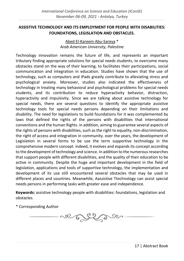# <span id="page-23-0"></span>**ASSISTIVE TECHNOLOGY AND ITS EMPLOYMENT FOR PEOPLE WITH DISABILITIES: FOUNDATIONS, LEGISLATION AND OBSTACLES.**

Abed El-Kareem Abu-Sareya \* *Arab American University, Palestine*

Technology innovation remains the future of life, and represents an important tributary finding appropriate solutions for special needs students, to overcome many obstacles stand on the way of their learning, to facilitates their participations, social communication and integration in education. Studies have shown that the use of technology, such as computers and iPads greatly contribute to alleviating stress and psychological anxiety. Moreover, studies also indicated the effectiveness of technology in treating many behavioral and psychological problems for special needs students, and its contribution to reduce hyperactivity behavior, distraction, hyperactivity and impulsivity. Since we are talking about assistive technology for special needs, there are several questions to identify the appropriate assistive technology tools for special needs persons depending on their limitations and disability. The need for legislations to build foundations for it was complemented by laws that defined the rights of the persons with disabilities that international conventions and the human Rights. in addition, aiming to guarantee several aspects of the rights of persons with disabilities, such as the right to equality, non-discrimination, the right of access and integration in community. over the years, the development of Legislation in several forms to be use the term supportive technology in the comprehensive modern concept. indeed, it evolves and expands its concept according to the development of technology and science. In addition to the numerous researches that support people with different disabilities, and the quality of their education to be active in community. Despite the huge and important development in the field of legislation, applications and tools of supportive technology, the implementation and development of its use still encountered several obstacles that may be used in different places and countries. Meanwhile, Aassistive Ttechnology can assist special needs persons in performing tasks with greater ease and independence.

**Keywords:** assistive technology people with disabilities: foundations, legislation and obstacles.

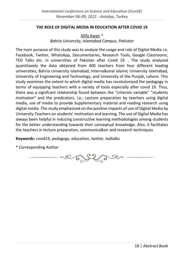#### <span id="page-24-0"></span>**THE ROLE OF DIGITAL MEDIA IN EDUCATION AFTER COVID 19**

Afifa Awan \* *Bahria University, Islamabad Campus, Pakistan*

The main purpose of this study was to analyze the usage and role of Digital Media i.e. Facebook, Twitter, WhatsApp, Documentaries, Research Tools, Google Classrooms, TED Talks etc. in universities of Pakistan after Covid 19. . The study analyzed quantitavely the data obtained from 400 teachers from four different leading universities, Bahria University Islamabad, Interna&onal Islamic University Islamabad, University of Engineering and Technology, and University of the Punjab, Lahore. This study examines the extent to which digital media has revolutonized the pedagogy in terms of equipping teachers with a variety of tools especially after covid 19. Thus, there was a signifcant relatonship found between the "criterion variable" "students motivaton" and the predicators, i.e.; Lecture preparation by teachers using digital media, use of media to provide Supplementary material and reading research using digital media .The study emphasized on the positive impacts of use of Digital Media by University Teachers on students' motivation and learning. The use of Digital Media has always been helpful in inducing constructive learning methodologies among students for the better understanding towards their conceptual knowledge. Also, it facilitates the teachers in lecture preparation, communica&on and research techniques

**Keywords:** covid19, pedagogy, education, twitter, tedtalks

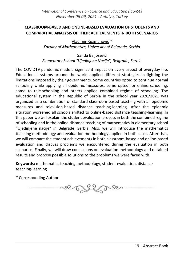# <span id="page-25-0"></span>**CLASSROOM-BASED AND ONLINE-BASED EVALUATION OF STUDENTS AND COMPARATIVE ANALYSIS OF THEIR ACHIEVEMENTS IN BOTH SCENARIOS**

Vladimir Kuzmanović \* *Faculty of Mathematics, University of Belgrade, Serbia*

Sanda Baljoševic *Elementary School "Ujedinjene Nacije", Belgrade, Serbia*

The COVID19 pandemic made a significant impact on every aspect of everyday life. Educational systems around the world applied different strategies in fighting the limitations imposed by their governments. Some countries opted to continue normal schooling while applying all epidemic measures, some opted for online schooling, some to tele-schooling and others applied combined regime of schooling. The educational system in the Republic of Serbia in the school year 2020/2021 was organized as a combination of standard classroom-based teaching with all epidemic measures and television-based distance teaching-learning. After the epidemic situation worsened all schools shifted to online-based distance teaching-learning. In this paper we will explain the student evaluation process in both the combined regime of schooling and in the online distance teaching of mathematics in elementary school "Ujedinjene nacije" in Belgrade, Serbia. Also, we will introduce the mathematics teaching methodology and evaluation methodology applied in both cases. After that, we will compare the student achievements in both classroom-based and online-based evaluation and discuss problems we encountered during the evaluation in both scenarios. Finally, we will draw conclusions on evaluation methodology and obtained results and propose possible solutions to the problems we were faced with.

**Keywords:** mathematics teaching methodology, student evaluation, distance teaching-learning

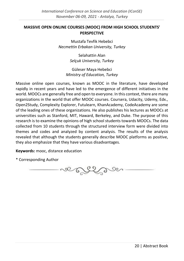# <span id="page-26-0"></span>**MASSIVE OPEN ONLINE COURSES (MOOC) FROM HIGH SCHOOL STUDENTS' PERSPECTIVE**

Mustafa Tevfik Hebebci *Necmettin Erbakan University, Turkey*

> Selahattin Alan *Selçuk University, Turkey*

Güleser Maya Hebebci *Ministry of Education, Turkey*

Massive online open courses, known as MOOC in the literature, have developed rapidly in recent years and have led to the emergence of different initiatives in the world. MOOCs are generally free and open to everyone. In this context, there are many organizations in the world that offer MOOC courses. Coursera, Udacity, Udemy, Edx., Open2Study, Complexity Explorer, Futulearn, KhanAcademy, CodeAcademy are some of the leading ones of these organizations. He also publishes his lectures as MOOCs at universities such as Stanford, MIT, Haward, Berkeley, and Duke. The purpose of this research is to examine the opinions of high school students towards MOOCs. The data collected from 10 students through the structured interview form were divided into themes and codes and analyzed by content analysis. The results of the analysis revealed that although the students generally describe MOOC platforms as positive, they also emphasize that they have various disadvantages.

**Keywords:** mooc, distance education

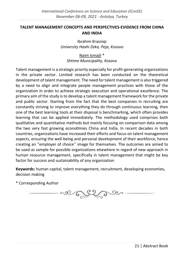# <span id="page-27-0"></span>**TALENT MANAGEMENT CONCEPTS AND PERSPECTIVES-EVIDENCE FROM CHINA AND INDIA**

Ibrahim Krasniqi *University Haxhi Zeka, Peja, Kosovo*

Naim Ismajli \* *Shtime Municipality, Kosovo*

Talent management is a strategic priority especially for profit-generating organizations in the private sector. Limited research has been conducted on the theoretical development of talent management. The need for talent management is also triggered by a need to align and integrate people management practices with those of the organization in order to achieve strategic execution and operational excellence. The primary aim of the study is to develop a talent management framework for the private and public sector. Starting from the fact that the best companies in recruiting are constantly striving to improve everything they do through continuous learning, then one of the best learning tools at their disposal is benchmarking, which often provides learning that can be applied immediately. The methodology used comprises both qualitative and quantitative methods but mainly focusing on comparison data among the two very fast growing econo0mies China and India. In recent decades in both countries, organizations have increased their efforts and focus on talent management aspects, ensuring the well-being and personal development of their workforce, hence creating an ''employer of choice'' image for themselves. The outcomes are aimed to be used as sample for possible organizations elsewhere in regard of new approach in human resource management, specifically in talent management that might be key factor for success and sustainability of any organization

**Keywords:** human capital, talent management, recruitment, developing economies, decision making

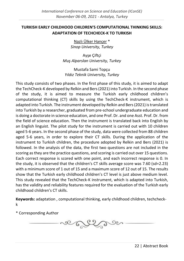# <span id="page-28-0"></span>**TURKISH EARLY CHILDHOOD CHILDREN'S COMPUTATIONAL THINKING SKILLS: ADAPTATION OF TECHCHECK-K TO TURKISH**

Nazlı Ülker Hançer \* *Sinop University, Turkey*

Ayşe Çiftçi *Muş Alparslan University, Turkey*

Mustafa Sami Topçu *Yıldız Teknik University, Turkey*

This study consists of two phases. In the first phase of this study, it is aimed to adapt the TechCheck-K developed by Relkin and Bers (2021) into Turkish. In the second phase of the study, it is aimed to measure the Turkish early childhood children's computational thinking (CT) skills by using the TechCheck-K instrument, which is adapted into Turkish. The instrument developed by Relkin and Bers (2021) is translated into Turkish by a researcher, graduated from pre-school undergraduate education and is doing a doctorate in science education, and one Prof. Dr. and one Asst. Prof. Dr. from the field of science education. Then the instrument is translated back into English by an English linguist. The pilot study for the instrument is carried out with 10 children aged 5-6 years. In the second phase of the study, data were collected from 88 children aged 5-6 years, in order to explore their CT skills. During the application of the instrument to Turkish children, the procedure adopted by Relkin and Bers (2021) is followed. In the analysis of the data, the first two questions are not included in the scoring as they are the practice questions, and scoring is carried out over 15 questions. Each correct response is scored with one point, and each incorrect response is 0. In the study, it is observed that the children's CT skills average score was 7.60 (sd=2.23) with a minimum score of 1 out of 15 and a maximum score of 12 out of 15. The results show that the Turkish early childhood children's CT level is just above medium level. This study revealed that the TechCheck-K instrument, which is adapted into Turkish, has the validity and reliability features required for the evaluation of the Turkish early childhood children's CT skills.

**Keywords:** adaptation , computational thinking, early childhood children, techcheckk

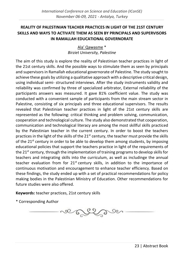# <span id="page-29-0"></span>**REALITY OF PALESTINIAN TEACHER PRACTICES IN LIGHT OF THE 21ST CENTURY SKILLS AND WAYS TO ACTIVATE THEM AS SEEN BY PRINCIPALS AND SUPERVISORS IN RAMALLAH EDUCATIONAL GOVERNORATE**

Ala' Qawasme \* *Birziet University, Palestine*

The aim of this study is explore the reality of Palestinian teacher practices in light of the 21st century skills. And the possible ways to stimulate them as seen by principals and supervisors in Ramallah educational governorate of Palestine. The study sought to achieve these goals by utilizing a qualitative approach with a descriptive critical design, using individual semi- structured interviews. After the study instruments validity and reliability was confirmed by three of specialized arbitrator, External reliability of the participants answers was measured. It gave 81% coefficient value. The study was conducted with a convenient sample of participants from the main stream sector in Palestine, consisting of six principals and three educational supervisors. The results revealed that Palestinian teacher practices in light of the 21st century skills are represented as the following: critical thinking and problem solving, communication, cooperation and technological culture. The study also demonstrated that cooperation, communication and technological literacy are among the most skillful skills practiced by the Palestinian teacher in the current century. In order to boost the teachers practices in the light of the skills of the 21<sup>st</sup> century, the teacher must provide the skills of the  $21<sup>st</sup>$  century in order to be able to develop them among students, by imposing educational policies that support the teachers practice in light of the requirements of the  $21^{st}$  century, through the implementation of training programs to develop skills for teachers and integrating skills into the curriculum, as well as includinge the annual teacher evaluation from for  $21^{st}$  century skills, in addition to the importance of continuous motivation and encouragement to enhance teacher efficiency. Based on these findings, the study ended up with a set of practical recommendations for policy making bodies in the Palestinian Ministry of Education. Other recommendations for future studies were also offered.

**Keywords:** teacher practices, 21st century skills

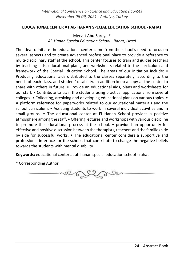#### <span id="page-30-0"></span>**EDUCATIONAL CENTER AT AL- HANAN SPECIAL EDUCATION SCHOOL - RAHAT**

Mervat Abu-Sareya \* *Al- Hanan Special Education School - Rahat, Israel*

The idea to initiate the educational center came from the school's need to focus on several aspects and to create advanced professional place to provide a reference to multi-disciplinary staff at the school. This center focuses to train and guides teachers by teaching aids, educational plans, and worksheets related to the curriculum and framework of the Special Education School. The areas of our initiation include: • Producing educational aids distributed to the classes separately, according to the needs of each class, and student' disability. In addition keep a copy at the center to share with others in future. • Provide an educational aids, plans and worksheets for our staff. • Contribute to train the students using practical applications from several colleges. • Collecting, archiving and developing educational plans on various topics. • A platform reference for paperworks related to our educational materials and the school curriculum. • Assisting students to work in several individual activities and in small groups. • The educational center at El Hanan School provides a positive atmosphere among the staff. • Offering lectures and workshops with various discipline to promote the educational process at the school. • provided an opportunity for effective and positive discussion between the therapists, teachers and the families side by side for successful works. • The educational center considers a supportive and professional interface for the school, that contribute to change the negative beliefs towards the students with mental disability

**Keywords:** educational center at al- hanan special education school - rahat

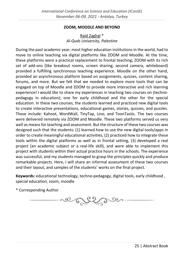#### **ZOOM, MOODLE AND BEYOND**

# Raid Zaghal \* *Al-Quds University, Palestine*

<span id="page-31-0"></span>During the past academic year; most higher education institutions in the world, had to move to online teaching via digital platforms like ZOOM and Moodle. At the time, these platforms were a practical replacement to frontal teaching; ZOOM with its rich set of add-ons (like breakout rooms, screen sharing, second camera, whiteboard) provided a fulfilling synchronous teaching experience. Moodle on the other hand, provided an asynchronous platform based on assignments, quizzes, content sharing, forums, and more. But we felt that we needed to explore more tools that can be engaged on top of Moodle and ZOOM to provide more interactive and rich learning experience! I would like to share my experiences in teaching two courses on (technopedagogy in education); one for early childhood and the other for the special education. In these two courses, the students learned and practiced new digital tools to create interactive presentations, educational games, stories, quizzes, and puzzles. These include: Kahoot, WordWall, TinyTap, Lino, and ToonTastic. The two courses were delivered remotely via ZOOM and Moodle. These two platforms served us very well as means for teaching and assessment. But the structure of these two courses was designed such that the students: (1) learned how to use the new digital tools/apps in order to create meaningful educational activities, (2) practiced how to integrate these tools within the digital platforms as well as in frontal setting, (3) developed a real project (an academic subject or a real-life skill), and were able to implement this project with students within their actual practice hours in the schools. The experience was successful, and my students managed to grasp the principles quickly and produce remarkable projects. Here, I will share an informal assessment of these two courses and their layout, and samples of the students' works on the final project.

**Keywords:** educational technology, techno-pedagogy, digital tools, early childhood , special education, zoom, moodle

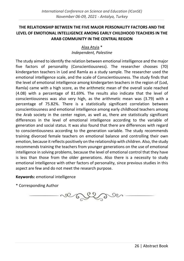# <span id="page-32-0"></span>**THE RELATIONSHIP BETWEEN THE FIVE MAJOR PERSONALITY FACTORS AND THE LEVEL OF EMOTIONAL INTELLIGENCE AMONG EARLY CHILDHOOD TEACHERS IN THE ARAB COMMUNITY IN THE CENTRAL REGION**

Alaa Atyia \* *Independent, Palestine*

The study aimed to identify the relation between emotional intelligence and the major five factors of personality (Conscientiousness). The researcher chooses (70) kindergarten teachers in Lod and Ramla as a study sample. The researcher used the emotional intelligence scale, and the scale of Conscientiousness. The study finds that the level of emotional intelligence among kindergarten teachers in the region of (Lod, Ramla) came with a high score, as the arithmetic mean of the overall scale reached (4.08) with a percentage of 81.69%. The results also indicate that the level of conscientiousness was also very high, as the arithmetic mean was (3.79) with a percentage of 75.82%. There is a statistically significant correlation between conscientiousness and emotional intelligence among early childhood teachers among the Arab society in the center region, as well as, there are statistically significant differences in the level of emotional intelligence according to the variable of generation and social status. It was also found that there are differences with regard to conscientiousness according to the generation variable. The study recommends training divorced female teachers on emotional balance and controlling their own emotion, because it reflects positively on the relationship with children. Also, the study recommends training the teachers from younger generations on the use of emotional intelligence in solving problems, because the level of emotional control that they have is less than those from the older generations. Also there is a necessity to study emotional intelligence with other factors of personality, since previous studies in this aspect are few and do not meet the research purpose.

**Keywords:** emotional intelligence

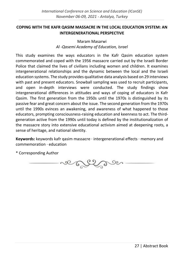# <span id="page-33-0"></span>**COPING WITH THE KAFR QASIM MASSACRE IN THE LOCAL EDUCATION SYSTEM: AN INTERGENERATIONAL PERSPECTIVE**

# Maram Masarwi *Al -Qasemi Academy of Education, Israel*

This study examines the ways educators in the Kafr Qasim education system commemorated and coped with the 1956 massacre carried out by the Israeli Border Police that claimed the lives of civilians including women and children. It examines intergenerational relationships and the dynamic between the local and the Israeli education systems. The study provides qualitative data analysis based on 29 interviews with past and present educators. Snowball sampling was used to recruit participants, and open in-depth interviews were conducted. The study findings show intergenerational differences in attitudes and ways of coping of educators in Kafr Qasim. The first generation from the 1950s until the 1970s is distinguished by its passive fear and great concern about the issue. The second generation from the 1970s until the 1990s evinces an awakening, and awareness of what happened to those educators, prompting consciousness-raising education and keenness to act. The thirdgeneration active from the 1990s until today is defined by the institutionalization of the massacre story into extensive educational activism aimed at deepening roots, a sense of heritage, and national identity.

**Keywords:** keywords kafr qasim massacre · intergenerational effects · memory and commemoration · education

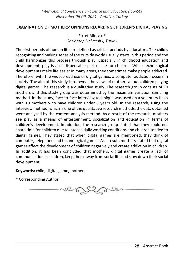#### <span id="page-34-0"></span>**EXAMINATION OF MOTHERS' OPINIONS REGARDING CHILDREN'S DIGITAL PLAYING**

Fikret Alincak \* *Gaziantep University, Turkey*

The first periods of human life are defined as critical periods by educators. The child's recognizing and making sense of the outside world usually starts in this period and the child harmonizes this process through play. Especially in childhood education and development, play is an indispensable part of life for children. While technological developments make life easier in many areas, they sometimes make people addicted. Therefore, with the widespread use of digital games, a computer addiction occurs in society. The aim of this study is to reveal the views of mothers about children playing digital games. The research is a qualitative study. The research group consists of 10 mothers and this study group was determined by the maximum variation sampling method. In the study, face-to-face interview technique was used on a voluntary basis with 10 mothers who have children under 6 years old. In the research, using the interview method, which is one of the qualitative research methods, the data obtained were analyzed by the content analysis method. As a result of the research, mothers see play as a means of entertainment, socialization and education in terms of children's development. In addition, the research group stated that they could not spare time for children due to intense daily working conditions and children tended to digital games. They stated that when digital games are mentioned, they think of computer, telephone and technological games. As a result, mothers stated that digital games affect the development of children negatively and create addiction in children. In addition, it has been concluded that mothers, digital games create a lack of communication in children, keep them away from social life and slow down their social development.

**Keywords:** child, digital game, mother.

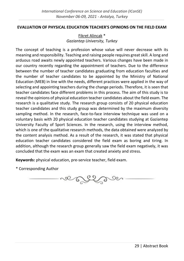#### <span id="page-35-0"></span>**EVALUATION OF PHYSICAL EDUCATION TEACHER'S OPINIONS ON THE FIELD EXAM**

Fikret Alincak \* *Gaziantep University, Turkey*

The concept of teaching is a profession whose value will never decrease with its meaning and responsibility. Teaching and raising people requires great skill. A long and arduous road awaits newly appointed teachers. Various changes have been made in our country recently regarding the appointment of teachers. Due to the difference between the number of teacher candidates graduating from education faculties and the number of teacher candidates to be appointed by the Ministry of National Education (MEB) in line with the needs, different practices were applied in the way of selecting and appointing teachers during the change periods. Therefore, it is seen that teacher candidates face different problems in this process. The aim of this study is to reveal the opinions of physical education teacher candidates about the field exam. The research is a qualitative study. The research group consists of 20 physical education teacher candidates and this study group was determined by the maximum diversity sampling method. In the research, face-to-face interview technique was used on a voluntary basis with 20 physical education teacher candidates studying at Gaziantep University Faculty of Sport Sciences. In the research, using the interview method, which is one of the qualitative research methods, the data obtained were analyzed by the content analysis method. As a result of the research, it was stated that physical education teacher candidates considered the field exam as boring and tiring. In addition, although the research group generally saw the field exam negatively, it was concluded that the exam was an exam that created anxiety and stress.

**Keywords:** physical education, pre-service teacher, field exam.

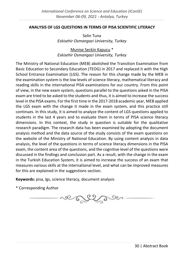#### <span id="page-36-0"></span>**ANALYSIS OF LGS QUESTIONS IN TERMS OF PISA SCIENTIFIC LITERACY**

Selin Tuna *Eskisehir Osmangazi University, Turkey*

Munise Seckin Kapucu \* *Eskisehir Osmangazi University, Turkey*

The Ministry of National Education (MEB) abolished the Transition Examination from Basic Education to Secondary Education (TEOG) in 2017 and replaced it with the High School Entrance Examination (LGS). The reason for this change made by the MEB in the examination system is the low levels of science literacy, mathematical literacy and reading skills in the international PISA examinations for our country. From this point of view, in the new exam system, questions parallel to the questions asked in the PISA exam are tried to be asked to the students and thus, it is aimed to increase the success level in the PISA exams. For the first time in the 2017-2018 academic year, MEB applied the LGS exam with the change it made in the exam system, and this practice still continues. In this study, it is aimed to analyze the content of LGS questions applied to students in the last 4 years and to evaluate them in terms of PISA science literacy dimensions. In this context, the study in question is suitable for the qualitative research paradigm. The research data has been examined by adopting the document analysis method and the data source of the study consists of the exam questions on the website of the Ministry of National Education. By using content analysis in data analysis, the level of the questions in terms of science literacy dimensions in the PISA exam, the content area of the questions, and the cognitive level of the questions were discussed in the findings and conclusion part. As a result, with the change in the exam in the Turkish Education System, it is aimed to increase the success of an exam that measures various skills at the international level, and what can be improved measures for this are explained in the suggestions section.

**Keywords:** pisa, lgs, science literacy, document analysis

ver England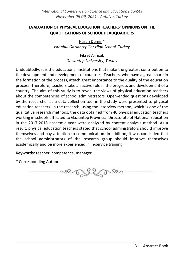# <span id="page-37-0"></span>**EVALUATION OF PHYSICAL EDUCATION TEACHERS' OPINIONS ON THE QUALIFICATIONS OF SCHOOL HEADQUARTERS**

Hasan Demir \* *İstanbul Gaziantepliler High School, Turkey*

> Fikret Alincak *Gaziantep University, Turkey*

Undoubtedly, it is the educational institutions that make the greatest contribution to the development and development of countries. Teachers, who have a great share in the formation of the process, attach great importance to the quality of the education process. Therefore, teachers take an active role in the progress and development of a country. The aim of this study is to reveal the views of physical education teachers about the competencies of school administrators. Open-ended questions developed by the researcher as a data collection tool in the study were presented to physical education teachers. In the research, using the interview method, which is one of the qualitative research methods, the data obtained from 40 physical education teachers working in schools affiliated to Gaziantep Provincial Directorate of National Education in the 2017-2018 academic year were analyzed by content analysis method. As a result, physical education teachers stated that school administrators should improve themselves and pay attention to communication. In addition, it was concluded that the school administrators of the research group should improve themselves academically and be more experienced in in-service training.

**Keywords:** teacher, competence, manager

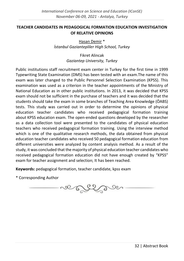# <span id="page-38-0"></span>**TEACHER CANDIDATES IN PEDAGOGICAL FORMATION EDUCATION INVESTIGATION OF RELATIVE OPINIONS**

Hasan Demir \* *İstanbul Gaziantepliler High School, Turkey*

> Fikret Alincak *Gaziantep University, Turkey*

Public institutions staff recruitment exam center in Turkey for the first time in 1999 Typewriting State Examination (DMS) has been tested with an exam.The name of this exam was later changed to the Public Personnel Selection Examination (KPSS). This examination was used as a criterion in the teacher appointments of the Ministry of National Education as in other public institutions. In 2013, it was decided that KPSS exam should not be sufficient in the purchase of teachers and it was decided that the students should take the exam in some branches of Teaching Area Knowledge (ÖABS) tests. This study was carried out in order to determine the opinions of physical education teacher candidates who received pedagogical formation training about KPSS education exam. The open-ended questions developed by the researcher as a data collection tool were presented to the candidates of physical education teachers who received pedagogical formation training. Using the interview method which is one of the qualitative research methods, the data obtained from physical education teacher candidates who received 50 pedagogical formation education from different universities were analyzed by content analysis method. As a result of the study, it was concluded that the majority of physical education teacher candidates who received pedagogical formation education did not have enough created by "KPSS" exam for teacher assignment and selection; It has been reached.

**Keywords:** pedagogical formation, teacher candidate, kpss exam

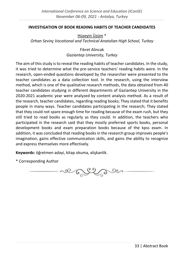#### <span id="page-39-0"></span>**INVESTIGATION OF BOOK READING HABITS OF TEACHER CANDIDATES**

Hüseyin Üzüm \* *Orhan Sevinç Vocational and Technical Anatolian High School, Turkey*

> Fikret Alincak *Gaziantep University, Turkey*

The aim of this study is to reveal the reading habits of teacher candidates. In the study, it was tried to determine what the pre-service teachers' reading habits were. In the research, open-ended questions developed by the researcher were presented to the teacher candidates as a data collection tool. In the research, using the interview method, which is one of the qualitative research methods, the data obtained from 40 teacher candidates studying in different departments of Gaziantep University in the 2020-2021 academic year were analyzed by content analysis method. As a result of the research, teacher candidates, regarding reading books; They stated that it benefits people in many ways. Teacher candidates participating in the research; They stated that they could not spare enough time for reading because of the exam rush, but they still tried to read books as regularly as they could. In addition, the teachers who participated in the research said that they mostly preferred sports books, personal development books and exam preparation books because of the kpss exam. In addition, it was concluded that reading books in the research group improves people's imagination, gains effective communication skills, and gains the ability to recognize and express themselves more effectively.

**Keywords:** öğretmen adayi, kitap okuma, alişkanlik.

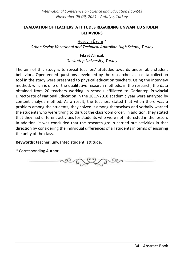#### <span id="page-40-0"></span>**EVALUATION OF TEACHERS' ATTITUDES REGARDING UNWANTED STUDENT BEHAVIORS**

Hüseyin Üzüm \*

*Orhan Sevinç Vocational and Technical Anatolian High School, Turkey*

Fikret Alincak *Gaziantep University, Turkey*

The aim of this study is to reveal teachers' attitudes towards undesirable student behaviors. Open-ended questions developed by the researcher as a data collection tool in the study were presented to physical education teachers. Using the interview method, which is one of the qualitative research methods, in the research, the data obtained from 20 teachers working in schools affiliated to Gaziantep Provincial Directorate of National Education in the 2017-2018 academic year were analyzed by content analysis method. As a result, the teachers stated that when there was a problem among the students, they solved it among themselves and verbally warned the students who were trying to disrupt the classroom order. In addition, they stated that they had different activities for students who were not interested in the lesson. In addition, it was concluded that the research group carried out activities in that direction by considering the individual differences of all students in terms of ensuring the unity of the class.

**Keywords:** teacher, unwanted student, attitude.

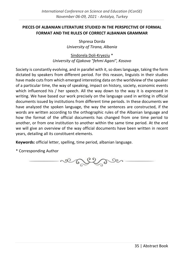# <span id="page-41-0"></span>**PIECES OF ALBANIAN LITERATURE STUDIED IN THE PERSPECTIVE OF FORMAL FORMAT AND THE RULES OF CORRECT ALBANIAN GRAMMAR**

Shpresa Dorda *University of Tirana, Albania*

Sindorela Doli-Kryeziu \* *University of Gjakova "fehmi Agani", Kosovo*

Society is constantly evolving, and in parallel with it, so does language, taking the form dictated by speakers from different period. For this reason, linguists in their studies have made cuts from which emerged interesting data on the worldview of the speaker of a particular time, the way of speaking, impact on history, society, economic events which influenced his / her speech. All the way down to the way it is expressed in writing. We have based our work precisely on the language used in writing in official documents issued by institutions from different time periods. In these documents we have analyzed the spoken language, the way the sentences are constructed, if the words are written according to the orthographic rules of the Albanian language and how the format of the official documents has changed from one time period to another, or from one institution to another within the same time period. At the end we will give an overview of the way official documents have been written in recent years, detailing all its constituent elements.

**Keywords:** official letter, spelling, time period, albanian language.

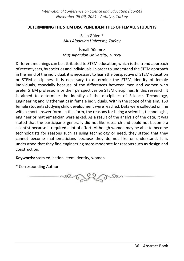#### <span id="page-42-0"></span>**DETERMINING THE STEM DISCIPLINE IDENTITIES OF FEMALE STUDENTS**

Salih Gülen \* *Muş Alparslan Universty, Turkey*

İsmail Dönmez *Muş Alparslan University, Turkey*

Different meanings can be attributed to STEM education, which is the trend approach of recent years, by societies and individuals. In order to understand the STEM approach in the mind of the individual, it is necessary to learn the perspective of STEM education or STEM disciplines. It is necessary to determine the STEM identity of female individuals, especially because of the differences between men and women who prefer STEM professions or their perspectives on STEM disciplines. In this research, it is aimed to determine the identity of the disciplines of Science, Technology, Engineering and Mathematics in female individuals. Within the scope of this aim, 150 female students studying child development were reached. Data were collected online with a short-answer form. In this form, the reasons for being a scientist, technologist, engineer or mathematician were asked. As a result of the analysis of the data, it was stated that the participants generally did not like research and could not become a scientist because it required a lot of effort. Although women may be able to become technologists for reasons such as using technology or need, they stated that they cannot become mathematicians because they do not like or understand. It is understood that they find engineering more moderate for reasons such as design and construction.

**Keywords:** stem education, stem identity, women

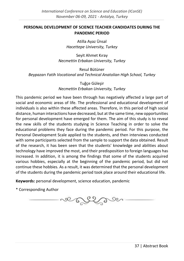# <span id="page-43-0"></span>**PERSONAL DEVELOPMENT OF SCIENCE TEACHER CANDIDATES DURING THE PANDEMIC PERIOD**

Atilla Ayaz Ünsal *Hacettepe University, Turkey*

Seyit Ahmet Kıray *Necmettin Erbakan University, Turkey*

Resul Bütüner *Beypazarı Fatih Vocational and Technical Anatolian High School, Turkey*

> Tuğçe Güleşir *Necmettin Erbakan University, Turkey*

This pandemic period we have been through has negatively affected a large part of social and economic areas of life. The professional and educational development of individuals is also within these affected areas. Therefore, in this period of high social distance, human interactions have decreased, but at the same time, new opportunities for personal development have emerged for them. The aim of this study is to reveal the new skills of the students studying in Science Teaching in order to solve the educational problems they face during the pandemic period. For this purpose, the Personal Development Scale applied to the students, and then interviews conducted with some participants selected from the sample to support the data obtained. Result of the research, it has been seen that the students' knowledge and abilities about technology have improved the most, and their predisposition to foreign languages has increased. In addition, it is among the findings that some of the students acquired various hobbies, especially at the beginning of the pandemic period, but did not continue these hobbies. As a result, it was determined that the personal development of the students during the pandemic period took place around their educational life.

**Keywords:** personal development, science education, pandemic

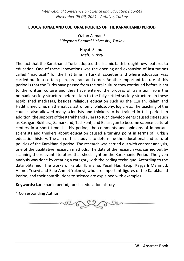#### <span id="page-44-0"></span>**EDUCATIONAL AND CULTURAL POLICIES OF THE KARAKHANID PERIOD**

Özkan Akman \* *Süleyman Demirel University, Turkey*

> Hayati Samur *Meb, Turkey*

The fact that the Karakhanid Turks adopted the Islamic faith brought new features to education. One of these innovations was the opening and expansion of institutions called "madrasah" for the first time in Turkish societies and where education was carried out in a certain plan, program and order. Another important feature of this period is that the Turks have passed from the oral culture they continued before Islam to the written culture and they have entered the process of transition from the nomadic society structure before Islam to the fully settled society structure. In these established madrasas, besides religious education such as the Qur'an, kalam and Hadith, medicine, mathematics, astronomy, philosophy, logic, etc. The teaching of the courses also allowed many scientists and thinkers to be trained in this period. In addition, the support of the Karakhanid rulers to such developments caused cities such as Kashgar, Bukhara, Samarkand, Tashkent, and Balasagun to become science-cultural centers in a short time. In this period, the comments and opinions of important scientists and thinkers about education caused a turning point in terms of Turkish education history. The aim of this study is to determine the educational and cultural policies of the Karakhanid period. The research was carried out with content analysis, one of the qualitative research methods. The data of the research was carried out by scanning the relevant literature that sheds light on the Karakhanid Period. The given analysis was done by creating a category with the coding technique. According to the data obtained; The works of Farabi, Ibni Sina, Yusuf Has Hacip, Kaşgarlı Mahmud, Ahmet Yesevi and Edip Ahmet Yuknevi, who are important figures of the Karakhanid Period, and their contributions to science are explained with examples.

**Keywords:** karakhanid period, turkish education history

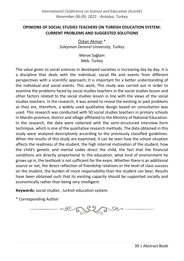# <span id="page-45-0"></span>**OPINIONS OF SOCIAL STUDIES TEACHERS ON TURKISH EDUCATION SYSTEM: CURRENT PROBLEMS AND SUGGESTED SOLUTIONS**

Özkan Akman \* *Süleyman Demirel University, Turkey*

> Merve Sağlam *Meb, Turkey*

The value given to social sciences in developed societies is increasing day by day. It is a discipline that deals with the individual, social life and events from different perspectives with a scientific approach; It is important for a better understanding of the individual and social events. This work; This study was carried out in order to examine the problems faced by social studies teachers in the social studies lesson and other factors related to the social studies lesson in line with the views of the social studies teachers. In the research, it was aimed to reveal the existing or past problems as they are, therefore, a widely used qualitative design based on consultation was used. This research was conducted with 50 social studies teachers in primary schools in Mardin province, district and village affiliated to the Ministry of National Education. In the research, the data were collected with the semi-structured interview form technique, which is one of the qualitative research methods. The data obtained in this study were analyzed descriptively according to the previously classified guidelines. When the results of this study are examined, it can be seen how the school situation affects the readiness of the student, the high internal motivation of the student, how the child's genetic and mental codes direct the child, the fact that the financial conditions are directly proportional to the education, what kind of environment he grows up in, the textbook is not sufficient for the exam. Whether there is an additional source or not, the direct reflection of friendship relations or the level of class success on the student, the burden of more responsibility than the student can bear, Results have been obtained such that its existing capacity should be supported socially and economically rather than being very intelligent.

**Keywords:** social studies , turkish education system.

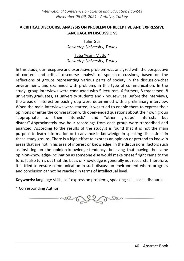# <span id="page-46-0"></span>**A CRITICAL DISCOURSE ANALYSIS ON PROBLEM OF RECEPTIVE AND EXPRESSIVE LANGUAGE IN DISCUSSIONS**

Tahir Gür *Gaziantep University, Turkey*

Tuba Yeşim Mutlu \* *Gaziantep University, Turkey*

In this study, our receptive and expressive problem was analyzed with the perspective of content and critical discourse analysis of speech-discussions, based on the reflections of groups representing various parts of society in the discussion-chat environment, and examined with problems in this type of communication. In the study, group interviews were conducted with 5 lecturers, 6 farmers, 8 tradesmen, 8 university graduates, 11 university students and 7 housewives. Before the interviews, the areas of interest on each group were determined with a preliminary interview. When the main interviews were started, it was tried to enable them to express their opinions or enter the conversation with open-ended questions about their own group "appropriate to their interests" and "other groups' interests but distant".Approximately two-hour recordings from each group were transcribed and analyzed. According to the results of the study,it is found that it is not the main purpose to learn information or to advance in knowledge in speaking-discussions in these study groups. There is a high effort to express an opinion or pretend to know in areas that are not in his area of interest or knowledge. In the discussions, factors such as insisting on the opinion-knowledge-tendency, believing that having the same opinion-knowledge-inclination as someone else would make oneself right came to the fore. It also turns out that the basis of knowledge is generally not research. Therefore, it is tried to ensure communication in such discussion environment where progress and conclusion cannot be reached in terms of intellectual level.

**Keywords:** language skills, self-expression problems, speaking skill, social discourse

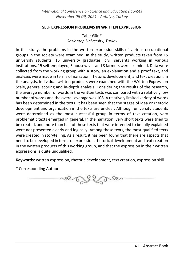#### **SELF EXPRESSION PROBLEMS IN WRITTEN EXPRESSION**

# Tahir Gür \* *Gaziantep University, Turkey*

<span id="page-47-0"></span>In this study, the problems in the written expression skills of various occupational groups in the society were examined. In the study, written products taken from 15 university students, 15 university graduates, civil servants working in various institutions, 15 self-employed, 5 housewives and 8 farmers were examined. Data were collected from the working group with a story, an explanation and a proof text, and analyzes were made in terms of narration, rhetoric development, and text creation. In the analysis, individual written products were examined with the Written Expression Scale, general scoring and in-depth analysis. Considering the results of the research, the average number of words in the written texts was compared with a relatively low number of words and the overall average was 108. A relatively limited variety of words has been determined in the texts. It has been seen that the stages of idea or rhetoric development and organization in the texts are unclear. Although university students were determined as the most successful group in terms of text creation, very problematic texts emerged in general. In the narration, very short texts were tried to be created, and more than half of these texts that were intended to be fully explained were not presented clearly and logically. Among these texts, the most qualified texts were created in storytelling. As a result, it has been found that there are aspects that need to be developed in terms of expression, rhetorical development and text creation in the written products of this working group, and that the expression in their written expressions is quite unqualified.

**Keywords:** written expression, rhetoric development, text creation, expression skill

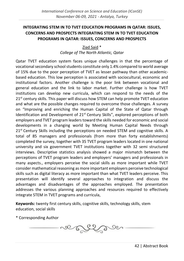# <span id="page-48-0"></span>**INTEGRATING STEM IN TO TVET EDUCATION PROGRAMS IN QATAR: ISSUES, CONCERNS AND PROSPECTS INTEGRATING STEM IN TO TVET EDUCATION PROGRAMS IN QATAR: ISSUES, CONCERNS AND PROSPECTS**

Ziad Said \* *College of The North Atlantic, Qatar*

Qatar TVET education system faces unique challenges in that the percentage of vocational secondary school students constitute only 1.4% compared to world average of 15% due to the poor perception of TVET as lesser pathway than other academicbased education. This low perception is associated with sociocultural, economic and institutional factors. Another challenge is the poor link between vocational and general education and the link to labor market. Further challenge is how TVET institutions can develop new curricula, which can respond to the needs of the  $21<sup>st</sup>$  century skills. This paper will discuss how STEM can help promote TVET education and what are the possible changes required to overcome those challenges. A survey on "Improving and enriching the Human Capital of the State of Qatar through Identification and Development of  $21<sup>st</sup>$  Century Skills", explored perceptions of both employers and TVET program leaders toward the skills needed for economic and social developments in a changing world by Meeting Human Capital Needs through  $21<sup>st</sup>$  Century Skills including the perceptions on needed STEM and cognitive skills. A total of 85 managers and professionals (from more than forty establishments) completed the survey, together with 35 TVET program leaders located in one national university and six government TVET institutions together with 32 semi structured interviews. Descriptive statistics analysis showed a major mismatch between the perceptions of TVET program leaders and employers' managers and professionals in many aspects., employers perceive the social skills as more important while TVET consider mathematical reasoning as more important employers perceive technological skills such as digital literacy as more important than what TVET leaders perceive. This presentation will identify several approaches to integration and discuss the advantages and disadvantages of the approaches employed. The presentation addresses the various planning approaches and resources required to effectively integrate STEM in TVET programs and curricula,

**Keywords:** twenty first century skills, cognitive skills, technology skills, stem education, social skills

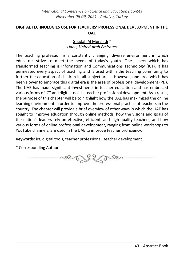# <span id="page-49-0"></span>**DIGITAL TECHNOLOGIES USE FOR TEACHERS' PROFESSIONAL DEVELOPMENT IN THE UAE**

# Ghadah Al Murshidi \* *Uaeu, United Arab Emirates*

The teaching profession is a constantly changing, diverse environment in which educators strive to meet the needs of today's youth. One aspect which has transformed teaching is Information and Communications Technology (ICT). It has permeated every aspect of teaching and is used within the teaching community to further the education of children in all subject areas. However, one area which has been slower to embrace this digital era is the area of professional development (PD). The UAE has made significant investments in teacher education and has embraced various forms of ICT and digital tools in teacher professional development. As a result, the purpose of this chapter will be to highlight how the UAE has maximized the online learning environment in order to improve the professional practice of teachers in the country. The chapter will provide a brief overview of other ways in which the UAE has sought to improve education through online methods, how the visions and goals of the nation's leaders rely on effective, efficient, and high-quality teachers, and how various forms of online professional development, ranging from online workshops to YouTube channels, are used in the UAE to improve teacher proficiency.

**Keywords:** ict, digital tools, teacher professional, teacher development

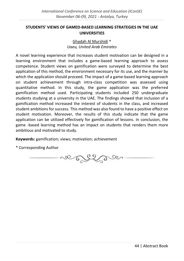# <span id="page-50-0"></span>**STUDENTS' VIEWS OF GAMED-BASED LEARNING STRATEGIES IN THE UAE UNIVERSITIES**

# Ghadah Al Murshidi \* *Uaeu, United Arab Emirates*

A novel learning experience that increases student motivation can be designed in a learning environment that includes a game-based learning approach to assess competence. Student views on gamification were surveyed to determine the best application of this method, the environment necessary for its use, and the manner by which the application should proceed. The impact of a game-based learning approach on student achievement through intra-class competition was assessed using quantitative method. In this study, the game application was the preferred gamification method used. Participating students included 250 undergraduate students studying at a university in the UAE. The findings showed that inclusion of a gamification method increased the interest of students in the class, and increased student ambitions for success. This method was also found to have a positive effect on student motivation. Moreover, the results of this study indicate that the game application can be utilized effectively for gamification of lessons. In conclusion, the game -based learning method has an impact on students that renders them more ambitious and motivated to study.

**Keywords:** gamification; views; motivation; achievement

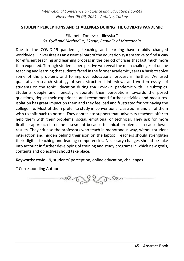#### <span id="page-51-0"></span>**STUDENT' PERCEPTIONS AND CHALLENGES DURING THE COVID-19 PANDEMIC**

Elizabeta Tomevska-Ilievska \* *Ss. Cyril and Methodius, Skopje, Republic of Macedonia*

Due to the COVID-19 pandemic, teaching and learning have rapidly changed worldwide. Universites as an essential part of the education system strive to find a way for efficient teaching and learning process in the period of crises that last much more than expected. Through students' perspective we reveal the main challenges of online teaching and learning that sudents faced in the former academic yearas a basis to solve some of the problems and to improve educational process in further. We used qualitative research strategy of semi-structured interviews and written essays of students on the topic Education during tha Covid-19 pandemic with 17 subtopics. Students deeply and honestly elaborate their perceptions towards the posed questions, depict their experience and recommend further activities and measures. Isolation has great impact on them and they feel bad and frustrated for not having the college life. Most of them prefer to study in conventional classrooms and all of them wish to shift back to normal.They appreciate support that university teachers offer to help them with their problems, social, emotional or technical. They ask for more flexibile approach in online assesment because technical problems can cause lower results. They criticise the professors who teach in monotonous way, without student interaction and hidden behind their icon on the laptop. Teachers should strenghten their digital, teaching and leading competencies. Necessary changes should be take into account in further developing of training and study programs in which new goals, contents and objectives shoud take place.

**Keywords:** covid-19, students' perception, online education, challenges

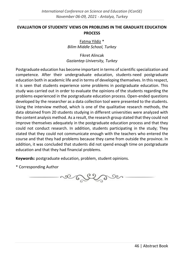#### <span id="page-52-0"></span>**EVALUATION OF STUDENTS' VIEWS ON PROBLEMS IN THE GRADUATE EDUCATION PROCESS**

Fatma Yildiz \* *Bilim Middle School, Turkey*

Fikret Alincak *Gaziantep University, Turkey*

Postgraduate education has become important in terms of scientific specialization and competence. After their undergraduate education, students need postgraduate education both in academic life and in terms of developing themselves. In this respect, it is seen that students experience some problems in postgraduate education. This study was carried out in order to evaluate the opinions of the students regarding the problems experienced in the postgraduate education process. Open-ended questions developed by the researcher as a data collection tool were presented to the students. Using the interview method, which is one of the qualitative research methods, the data obtained from 20 students studying in different universities were analyzed with the content analysis method. As a result, the research group stated that they could not improve themselves adequately in the postgraduate education process and that they could not conduct research. In addition, students participating in the study; They stated that they could not communicate enough with the teachers who entered the course and that they had problems because they came from outside the province. In addition, it was concluded that students did not spend enough time on postgraduate education and that they had financial problems.

**Keywords:** postgraduate education, problem, student opinions.

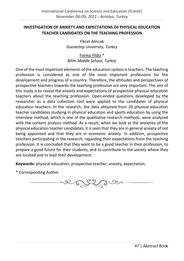# <span id="page-53-0"></span>**INVESTIGATION OF ANXIETY AND EXPECTATIONS OF PHYSICAL EDUCATION TEACHER CANDIDATES ON THE TEACHING PROFESSION**

Fikret Alincak *Gaziantep University, Turkey*

Fatma Yildiz \* *Bilim Middle School, Turkey*

One of the most important elements of the education system is teachers. The teaching profession is considered as one of the most important professions for the development and progress of a country. Therefore, the attitudes and perspectives of prospective teachers towards the teaching profession are very important. The aim of this study is to reveal the anxiety and expectations of prospective physical education teachers about the teaching profession. Open-ended questions developed by the researcher as a data collection tool were applied to the candidates of physical education teachers. In the research, the data obtained from 20 physical education teacher candidates studying in physical education and sports education by using the interview method, which is one of the qualitative research methods, were analyzed with the content analysis method. As a result, when we look at the anxieties of the physical education teacher candidates, it is seen that they are in general anxiety of not being appointed and that they are in economic anxiety. In addition, prospective teachers participating in the research, regarding their expectations from the teaching profession; It is concluded that they want to be a good teacher in their profession, to prepare a good future for their students, and to contribute to the society where they are located and to lead their development.

**Keywords:** physical education, prospective teacher, anxiety, expectation.

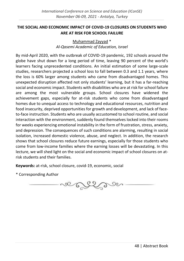# <span id="page-54-0"></span>**THE SOCIAL AND ECONOMIC IMPACT OF COVID-19 CLOSURES ON STUDENTS WHO ARE AT RISK FOR SCHOOL FAILURE**

Muhammad Zayyad \* *Al-Qasemi Academic of Education, Israel*

By mid-April 2020, with the outbreak of COVID-19 pandemic, 192 schools around the globe have shut down for a long period of time, leaving 90 percent of the world's learners facing unprecedented conditions. An initial estimation of some large-scale studies, researchers projected a school loss to fall between 0.3 and 1.1 years, where the loss is 60% larger among students who came from disadvantaged homes. This unexpected disruption affected not only students' learning, but it has a far-reaching social and economic impact. Students with disabilities who are at risk for school failure are among the most vulnerable groups. School closures have widened the achievement gaps, especially for at-risk students who come from disadvantaged homes due to unequal access to technology and educational resources, nutrition and food insecurity, deprived opportunities for growth and development, and lack of faceto-face instruction. Students who are usually accustomed to school routine, and social interaction with the environment, suddenly found themselves locked into their rooms for weeks experiencing emotional instability in the form of frustration, stress, anxiety, and depression. The consequences of such conditions are alarming, resulting in social isolation, increased domestic violence, abuse, and neglect. In addition, the research shows that school closures reduce future earnings, especially for those students who come from low-income families where the earning losses will be devastating. In this lecture, we will shed light on the social and economic impact of school closures on atrisk students and their families.

**Keywords:** at-risk, school closure, covid-19, economic, social

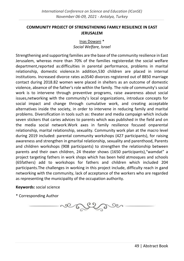### <span id="page-55-0"></span>**COMMUNITY PROJECT OF STRENGTHENING FAMILY RESILIENCE IN EAST JERUSALEM**

# Inas Dowani \* *Social Welfare, Israel*

Strengthening and supporting families are the base of the community resilience in East Jerusalem, whereas more than 70% of the families registeredat the social welfare department,reported as:difficulties in parental performance, problems in marital relationship, domestic violence.In addition,530 children are placed in internal institutions. Increased divorce rates as3540 divorces registered out of 8850 marriage contact during 2018.82 women were placed in shelters as an outcome of domestic violence, absence of the father's role within the family. The role of community's social work is to intervene through preventive programs, raise awareness about social issues,networking with the community's local organizations, introduce concepts for social impact and change through cumulative work, and creating acceptable alternatives inside the society, in order to intervene in reducing family and marital problems. Diversification in tools such as: theater and media campaign which include seven stickers that caries advices to parents which was published in the field and on the media social network.Work axes in family resilience focused onparental relationship, marital relationship, sexuality. Community work plan at the macro level during 2019 included: parental community workshops (427 participants), for raising awareness and strengthen in gmarital relationship, sexuality and parenthood, Parents and children workshops (908 participants) to strengthen the relationship between parents and their own children, 24 theater shows (1650 participants),"wamdat" a project targeting fathers in work shops which has been held atmosques and schools (65fathers) add to workshops for fathers and children which included 204 participants.The challenges in working in this project include, difficulty reach in gand networking with the community, lack of acceptance of the workers who are regarded as representing the municipality of the occupation authority.

#### **Keywords:** social science

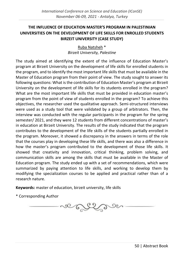# <span id="page-56-0"></span>**THE INFLUENCE OF EDUCATION MASTER'S PROGRAM IN PALESTINIAN UNIVERSITIES ON THE DEVELOPMENT OF LIFE SKILLS FOR ENROLLED STUDENTS BIRZEIT UNIVERSITY (CASE STUDY)**

Ruba Natsheh \* *Birzeit University, Palestine*

The study aimed at identifying the extent of the influence of Education Master's program at Birzeit University on the development of life skills for enrolled students in the program, and to identify the most important life skills that must be available in the Master of Education program from their point of view. The study sought to answer its following questions: What is the contribution of Education Master's program at Birzeit University on the development of life skills for its students enrolled in the program? What are the most important life skills that must be provided in education master's program from the point of view of students enrolled in the program? To achieve this objectives, the researcher used the qualitative approach. Semi-structured interviews were used as a study tool that were validated by a group of arbitrators. Then, the interview was conducted with the regular participants in the program for the spring semester/ 2021, and they were 12 students from different concentrations of master's in education at Birzeit University. The results of the study indicated that the program contributes to the development of the life skills of the students partially enrolled in the program. Moreover, it showed a discrepancy in the answers in terms of the role that the courses play in developing these life skills, and there was also a difference in how the master's program contributed to the development of those life skills. It showed that creativity and innovation, critical thinking, problem solving, and communication skills are among the skills that must be available in the Master of Education program. The study ended up with a set of recommendations, which were summarized by paying attention to life skills, and working to develop them by modifying the specialization courses to be applied and practical rather than of a research nature.

**Keywords:** master of education, birzeit university, life skills

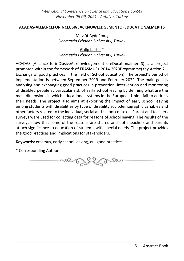#### <span id="page-57-0"></span>**ACADAS-ALLIANCEFORINCLUSIVEACKNOWLEDGEMENTOFEDUCATIONALMERITS**

Mevlüt Aydoğmuş *Necmettin Erbakan University, Turkey*

Galip Kartal \* *Necmettin Erbakan University, Turkey*

ACADAS (Alliance forinClusiveAcknowledgement ofeDucationalmeritS) is a project promoted within the framework of ERASMUS+ 2014-2020Programme(Key Action 2 – Exchange of good practices in the field of School Education). The project's period of implementation is between September 2019 and February 2022. The main goal is analysing and exchanging good practices in prevention, intervention and monitoring of disabled people at particular risk of early school leaving by defining what are the main dimensions in which educational systems in the European Union fail to address their needs. The project also aims at exploring the impact of early school leaving among students with disabilities by type of disability,sociodemographic variables and other factors related to the individual, social and school contexts. Parent and teachers surveys were used for collecting data for reasons of school leaving. The results of the surveys show that some of the reasons are shared and both teachers and parents attach significance to education of students with special needs. The project provides the good practices and implications for stakeholders.

**Keywords:** erasmus, early school leaving, eu, good practices

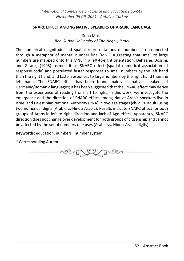#### <span id="page-58-0"></span>**SNARC EFFECT AMONG NATIVE SPEAKERS OF ARABIC LANGUAGE**

Suha Musa *Ben Gurion University of The Negev, Israel*

The numerical magnitude and spatial representations of numbers are connected through a metaphor of mental number line (MNL) suggesting that small to large numbers are mapped onto this MNL in a left-to-right orientation. Dehaene, Bossini, and Giraux, (1993) termed it as SNARC effect (spatial numerical association of response code) and postulated faster responses to small numbers by the left hand than the right hand, and faster responses to large numbers by the right hand than the left hand. The SNARC effect has been found mainly in native speakers of Germanic/Romanic languages; it has been suggested that the SNARC effect may derive from the experience of reading from left to right. In this work, we investigate the emergence and the direction of SNARC effect among Native-Arabic speakers live in Israel and Palestinian National Authority (PNA) in two age stages (child vs. adult) using two numerical digits (Arabic vs Hindu-Arabic). Results indicate SNARC effect for both groups of Arabs in left to right direction and lack of Age effect. Apparently, SNARC direction does not change over development for both groups of citizenship and cannot be affected by the set of numbers one uses (Arabic vs. Hindu-Arabic digits).

**Keywords:** education, numbers , number system

so Esta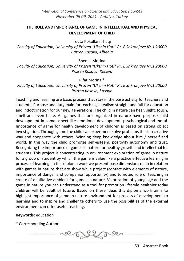#### <span id="page-59-0"></span>**THE ROLE AND IMPORTANCE OF GAME IN INTELLECTUAL AND PHYSICAL DEVELOPMENT OF CHILD**

Teuta Kokollari-Thaqi

*Faculty of Education, University of Prizren "Ukshin Hoti" Rr. E Shkronjave Nr.1 20000 Prizren Kosova, Albania*

Shemsi Morina

*Faculty of Education, University of Prizren "Ukshin Hoti" Rr. E Shkronjave Nr.1 20000 Prizren Kosova, Kosovo*

Rifat Morina \*

*Faculty of Education, University of Prizren "Ukshin Hoti" Rr. E Shkronjave Nr.1 20000 Prizren Kosova, Kosovo*

Teaching and learning are basic process that stay in the base activity for teachers and students. Purpose and duty main for teaching is realism straight and full for education and indoctrination for our new generations. The child in nature can hear, sight, touch, smell and even taste. All games that are organized in nature have purpose child development in some aspect like emotional development, psychological and moral. Importance of game for health development of children is based on strong object investigation. Through game the child can experiment solve problems think in creative way and cooperate with others. Winning deep knowledge about him / herself and world. In this way the child promotes self-esteem, positivity autonomy and trust. Recognizing the importance of games in nature for healthy growth and intellectual for students. This project is concentrating in environment exploration of game in nature for a group of student by which the game is value like a practice effective learning in process of learning. In this diploma work we present base dimensions main in relation with games in nature that are show while project (contact with elements of nature, importance of danger and companion opportunity) and to noted role of teaching in create of qualitative ambient for games in nature. Valorization of young age and the game in nature you can understand as a tool for promotion lifestyle healthier today children will be adult of future. Based on these ideas this diploma work aims to highlight importance of game in nature environment for process of development to learning and to inspire and challenge others to use the possibilities of the external environment can offer useful teaching.

**Keywords:** education

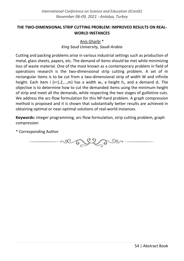# <span id="page-60-0"></span>**THE TWO-DIMENSIONAL STRIP CUTTING PROBLEM: IMPROVED RESULTS ON REAL-WORLD INSTANCES**

# Anis Gharbi \* *King Saud University, Saudi Arabia*

Cutting and packing problems arise in various industrial settings such as production of metal, glass sheets, papers, etc. The demand of items should be met while minimizing loss of waste material. One of the most known as a contemporary problem in field of operations research is the two-dimensional strip cutting problem. A set of m rectangular items is to be cut from a two-dimensional strip of width W and infinite height. Each item i (i=1,2,...,m) has a width  $w_i$ , a height  $h_i$ , and a demand  $d_i$ . The objective is to determine how to cut the demanded items using the minimum height of strip and meet all the demands, while respecting the two stages of guillotine cuts. We address the arc-flow formulation for this NP-hard problem. A graph compression method is proposed and it is shown that substantially better results are achieved in obtaining optimal or near-optimal solutions of real-world instances.

**Keywords:** integer programming, arc-flow formulation, strip cutting problem, graph compression

so Eggen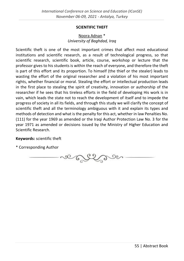#### **SCIENTIFIC THEFT**

# Noora Adnan \* *University of Baghdad, Iraq*

<span id="page-61-0"></span>Scientific theft is one of the most important crimes that affect most educational institutions and scientific research, as a result of technological progress, so that scientific research, scientific book, article, course, workshop or lecture that the professor gives to his students is within the reach of everyone, and therefore the theft is part of this effort and its proportion. To himself (the thief or the stealer) leads to wasting the effort of the original researcher and a violation of his most important rights, whether financial or moral. Stealing the effort or intellectual production leads in the first place to stealing the spirit of creativity, innovation or authorship of the researcher if he sees that his tireless efforts in the field of developing His work is in vain, which leads the state not to reach the development of itself and to impede the progress of society in all its fields, and through this study we will clarify the concept of scientific theft and all the terminology ambiguous with it and explain its types and methods of detection and what is the penalty for this act, whether in law Penalties No. (111) for the year 1969 as amended or the Iraqi Author Protection Law No. 3 for the year 1971 as amended or decisions issued by the Ministry of Higher Education and Scientific Research.

#### **Keywords:** scientific theft

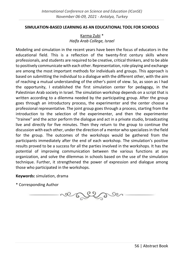#### <span id="page-62-0"></span>**SIMULATION-BASED LEARNING AS AN EDUCATIONAL TOOL FOR SCHOOLS**

#### Karma Zubi \* *Haifa Arab College, Israel*

Modeling and simulation in the recent years have been the focus of educators in the educational field. This is a reflection of the twenty-first century skills where professionals, and students are required to be creative, critical thinkers, and to be able to positively communicate with each other. Representation, role-playing and exchange are among the most important methods for individuals and groups. This approach is based on submitting the individual to a dialogue with the different other, with the aim of reaching a mutual understanding of the other's point of view. So, as soon as I had the opportunity, I established the first simulation center for pedagogy, in the Palestinian Arab society in Israel. The simulation workshop depends on a script that is written according to a dilemma needed by the participating group. After the group goes through an introductory process, the experimenter and the center choose a professional representative. The joint group goes through a process, starting from the introduction to the selection of the experimenter, and then the experimenter "trainee" and the actor perform the dialogue and act in a private studio, broadcasting live and directly for five minutes. Then they return to the group to continue the discussion with each other, under the direction of a mentor who specializes in the field for the group. The outcomes of the workshops would be gathered from the participants immediately after the end of each workshop. The simulation's positive results proved to be a success for all the parties involved in the workshops. It has the potential of improving communication between the various functions at any organization, and solve the dilemmas in schools based on the use of the simulation technique. Further, it strengthened the power of expression and dialogue among those who participated in the workshops.

**Keywords:** simulation, drama

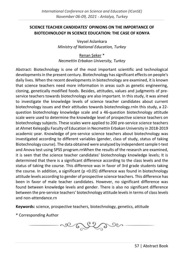# <span id="page-63-0"></span>**SCIENCE TEACHER CANDIDATES' OPINIONS ON THE IMPORTANCE OF BIOTECHNOLOGY IN SCIENCE EDUCATION: THE CASE OF KONYA**

Veysel Aslankara *Ministry of National Education, Turkey*

Renan Şeker \* *Necmettin Erbakan University, Turkey*

Abstract: Biotechnology is one of the most important scientific and technological developments in the present century. Biotechnology has significant effects on people's daily lives. When the recent developments in biotechnology are examined, it is known that science teachers need more information in areas such as genetic engineering, cloning, genetically modified foods. Besides, attitudes, values and judgments of preservice teachers towards biotechnology are also important. In this study, it was aimed to investigate the knowledge levels of science teacher candidates about current biotechnology issues and their attitudes towards biotechnology.rnIn this study, a 22 question biotechnology knowledge scale and a 46-question biotechnology attitude scale were used to determine the knowledge level of prospective science teachers on biotechnology subjects. These scales were applied to 200 pre-service science teachers at Ahmet Keleşoğlu Faculty of Education in Necmettin Erbakan University in 2018-2019 academic year. Knowledge of pre-service science teachers about biotechnology was investigated according to different variables (gender, class of study, status of taking Biotechnology course). The data obtained were analyzed by independent sample t-test and Anova test using SPSS program.rnWhen the results of the research are examined, it is seen that the science teacher candidates' biotechnology knowledge levels; It is determined that there is a significant difference according to the class levels and the status of taking the course. This difference was in favor of 3rd grade students taking the course. In addition, a significant (p <0.05) difference was found in biotechnology attitude levels according to gender of prospective science teachers. This difference has been in favor of male teacher candidates. However, no significant difference was found between knowledge levels and gender. There is also no significant difference between the pre-service teachers' biotechnology attitude levels in terms of class levels and non-attendance.rn

**Keywords:** science, prospective teachers, biotechnology, genetics, attitude

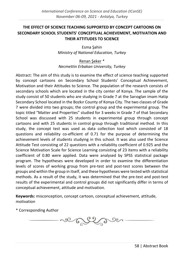# <span id="page-64-0"></span>**THE EFFECT OF SCIENCE TEACHING SUPPORTED BY CONCEPT CARTOONS ON SECONDARY SCHOOL STUDENTS' CONCEPTUAL ACHIEVEMENT, MOTIVATION AND THEIR ATTITUDES TO SCIENCE**

Esma Şahin *Ministry of National Education, Turkey*

Renan Şeker \* *Necmettin Erbakan University, Turkey*

Abstract: The aim of this study is to examine the effect of science teaching supported by concept cartoons on Secondary School Students' Conceptual Achievement, Motivation and their Attitudes to Science. The population of the research consists of secondary schools which are located in the city center of Konya. The sample of the study consist of 50 students who are studying in Grade 7 at the Sarıoglan imam Hatip Secondary School located in the Bozkır County of Konya City. The two classes of Grade 7 were divided into two groups; the control group and the experimental group. The topic titled "Matter and Properties" studied for 3 weeks in Grade 7 of that Secondary School was discussed with 25 students in experimental group through concept cartoons and with 25 students in control group through traditional method. In this study, the concept test was used as data collection tool which consisted of 18 questions and reliability co-efficient of 0.71 for the purpose of determining the achievement levels of students studying in this school. It was also used the Science Attitude Test consisting of 22 questions with a reliability coefficient of 0.925 and the Science Motivation Scale for Science Learning consisting of 23 items with a reliability coefficient of 0.80 were applied. Data were analysed by SPSS statistical package program. The hypotheses were developed in order to examine the differentiation levels of scores of working group from pre-test and post-test scores between the groups and within the group in itself, and these hypotheses were tested with statistical methods. As a result of the study, it was determined that the pre-test and post-test results of the experimental and control groups did not significantly differ in terms of conceptual achievement, attitude and motivation.

**Keywords:** misconception, concept cartoon, conceptual achievement, attitude, motivation